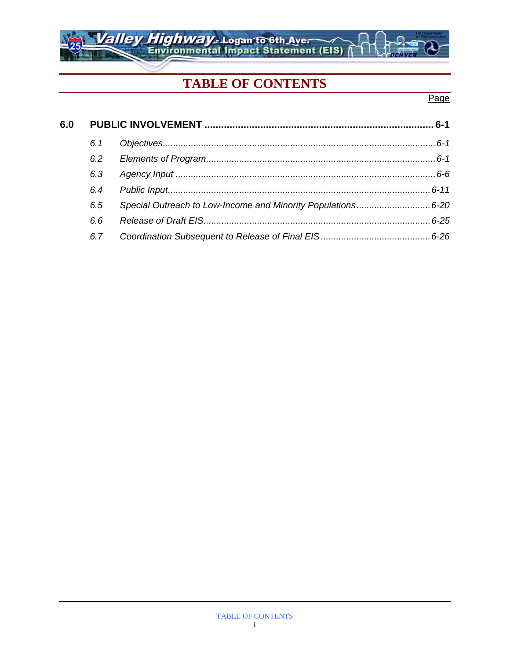## **TABLE OF CONTENTS**

Valley Highway-Logan to 6th Ave.

### Page

| 6.0 |     |                                                             |  |
|-----|-----|-------------------------------------------------------------|--|
|     | 6.1 |                                                             |  |
|     | 6.2 |                                                             |  |
|     | 6.3 |                                                             |  |
|     | 6.4 |                                                             |  |
|     | 6.5 | Special Outreach to Low-Income and Minority Populations6-20 |  |
|     | 6.6 |                                                             |  |
|     | 6.7 |                                                             |  |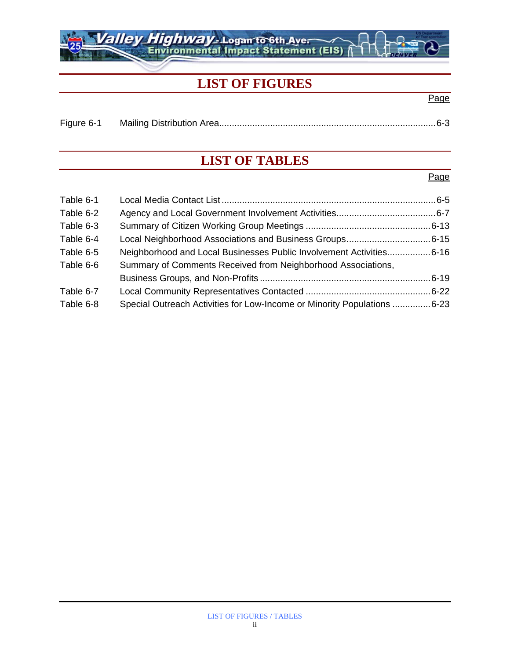## **LIST OF FIGURES**

alley Highway - Logan to 6th Ave.

### Figure 6-1 Mailing Distribution Area.....................................................................................6-3

## **LIST OF TABLES**

#### Page

Page

| Table 6-1 |                                                                         |  |
|-----------|-------------------------------------------------------------------------|--|
| Table 6-2 |                                                                         |  |
| Table 6-3 |                                                                         |  |
| Table 6-4 | Local Neighborhood Associations and Business Groups6-15                 |  |
| Table 6-5 | Neighborhood and Local Businesses Public Involvement Activities6-16     |  |
| Table 6-6 | Summary of Comments Received from Neighborhood Associations,            |  |
|           |                                                                         |  |
| Table 6-7 |                                                                         |  |
| Table 6-8 | Special Outreach Activities for Low-Income or Minority Populations 6-23 |  |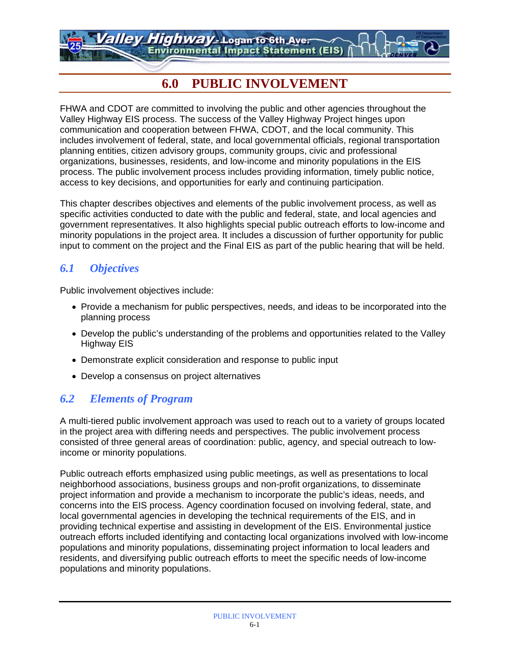*Highway - L*ogan to 6th Aver **Environmental Impact Statement (EIS)** 

## **6.0 PUBLIC INVOLVEMENT**

FHWA and CDOT are committed to involving the public and other agencies throughout the Valley Highway EIS process. The success of the Valley Highway Project hinges upon communication and cooperation between FHWA, CDOT, and the local community. This includes involvement of federal, state, and local governmental officials, regional transportation planning entities, citizen advisory groups, community groups, civic and professional organizations, businesses, residents, and low-income and minority populations in the EIS process. The public involvement process includes providing information, timely public notice, access to key decisions, and opportunities for early and continuing participation.

This chapter describes objectives and elements of the public involvement process, as well as specific activities conducted to date with the public and federal, state, and local agencies and government representatives. It also highlights special public outreach efforts to low-income and minority populations in the project area. It includes a discussion of further opportunity for public input to comment on the project and the Final EIS as part of the public hearing that will be held.

### *6.1 Objectives*

Public involvement objectives include:

- Provide a mechanism for public perspectives, needs, and ideas to be incorporated into the planning process
- Develop the public's understanding of the problems and opportunities related to the Valley Highway EIS
- Demonstrate explicit consideration and response to public input
- Develop a consensus on project alternatives

### *6.2 Elements of Program*

A multi-tiered public involvement approach was used to reach out to a variety of groups located in the project area with differing needs and perspectives. The public involvement process consisted of three general areas of coordination: public, agency, and special outreach to lowincome or minority populations.

Public outreach efforts emphasized using public meetings, as well as presentations to local neighborhood associations, business groups and non-profit organizations, to disseminate project information and provide a mechanism to incorporate the public's ideas, needs, and concerns into the EIS process. Agency coordination focused on involving federal, state, and local governmental agencies in developing the technical requirements of the EIS, and in providing technical expertise and assisting in development of the EIS. Environmental justice outreach efforts included identifying and contacting local organizations involved with low-income populations and minority populations, disseminating project information to local leaders and residents, and diversifying public outreach efforts to meet the specific needs of low-income populations and minority populations.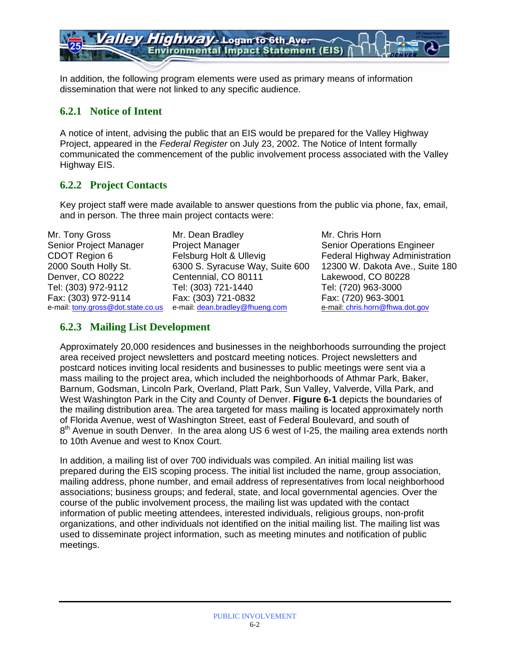In addition, the following program elements were used as primary means of information dissemination that were not linked to any specific audience.

**Environmental Impact Statement (EIS)** 

*Highway* - Logan to 6th Aver

#### **6.2.1 Notice of Intent**

A notice of intent, advising the public that an EIS would be prepared for the Valley Highway Project, appeared in the *Federal Register* on July 23, 2002. The Notice of Intent formally communicated the commencement of the public involvement process associated with the Valley Highway EIS.

### **6.2.2 Project Contacts**

Key project staff were made available to answer questions from the public via phone, fax, email, and in person. The three main project contacts were:

Mr. Tony Gross Senior Project Manager CDOT Region 6 2000 South Holly St. Denver, CO 80222 Tel: (303) 972-9112 Fax: (303) 972-9114 e-mail: tony.gross@dot.state.co.us Mr. Dean Bradley Project Manager Felsburg Holt & Ullevig 6300 S. Syracuse Way, Suite 600 Centennial, CO 80111 Tel: (303) 721-1440 Fax: (303) 721-0832 e-mail: dean.bradley@fhueng.com

Mr. Chris Horn Senior Operations Engineer Federal Highway Administration 12300 W. Dakota Ave., Suite 180 Lakewood, CO 80228 Tel: (720) 963-3000 Fax: (720) 963-3001 e-mail: chris.horn@fhwa.dot.gov

### **6.2.3 Mailing List Development**

Approximately 20,000 residences and businesses in the neighborhoods surrounding the project area received project newsletters and postcard meeting notices. Project newsletters and postcard notices inviting local residents and businesses to public meetings were sent via a mass mailing to the project area, which included the neighborhoods of Athmar Park, Baker, Barnum, Godsman, Lincoln Park, Overland, Platt Park, Sun Valley, Valverde, Villa Park, and West Washington Park in the City and County of Denver. **Figure 6-1** depicts the boundaries of the mailing distribution area. The area targeted for mass mailing is located approximately north of Florida Avenue, west of Washington Street, east of Federal Boulevard, and south of 8<sup>th</sup> Avenue in south Denver. In the area along US 6 west of I-25, the mailing area extends north to 10th Avenue and west to Knox Court.

In addition, a mailing list of over 700 individuals was compiled. An initial mailing list was prepared during the EIS scoping process. The initial list included the name, group association, mailing address, phone number, and email address of representatives from local neighborhood associations; business groups; and federal, state, and local governmental agencies. Over the course of the public involvement process, the mailing list was updated with the contact information of public meeting attendees, interested individuals, religious groups, non-profit organizations, and other individuals not identified on the initial mailing list. The mailing list was used to disseminate project information, such as meeting minutes and notification of public meetings.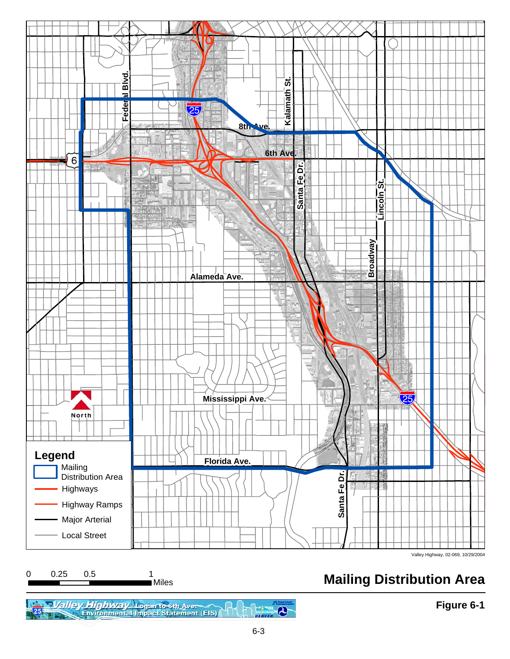

# **Mailing Distribution Area**

**Figure 6-1**

.<br>∎Miles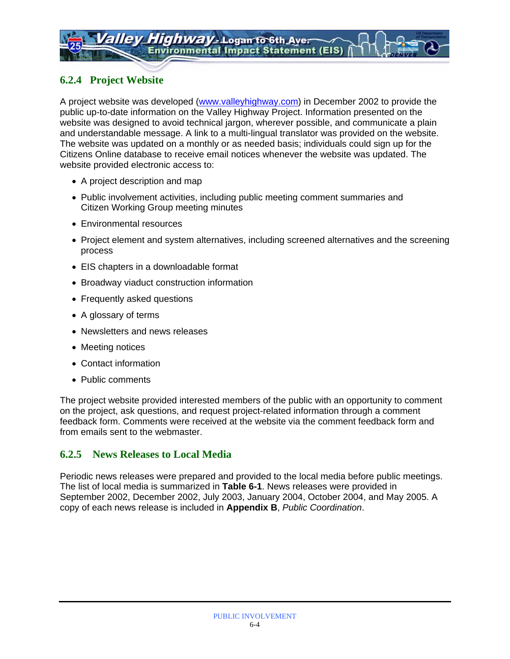### **6.2.4 Project Website**

A project website was developed (www.valleyhighway.com) in December 2002 to provide the public up-to-date information on the Valley Highway Project. Information presented on the website was designed to avoid technical jargon, wherever possible, and communicate a plain and understandable message. A link to a multi-lingual translator was provided on the website. The website was updated on a monthly or as needed basis; individuals could sign up for the Citizens Online database to receive email notices whenever the website was updated. The website provided electronic access to:

- A project description and map
- Public involvement activities, including public meeting comment summaries and Citizen Working Group meeting minutes
- Environmental resources
- Project element and system alternatives, including screened alternatives and the screening process
- EIS chapters in a downloadable format
- Broadway viaduct construction information
- Frequently asked questions
- A glossary of terms
- Newsletters and news releases
- Meeting notices
- Contact information
- Public comments

The project website provided interested members of the public with an opportunity to comment on the project, ask questions, and request project-related information through a comment feedback form. Comments were received at the website via the comment feedback form and from emails sent to the webmaster.

### **6.2.5 News Releases to Local Media**

Periodic news releases were prepared and provided to the local media before public meetings. The list of local media is summarized in **Table 6-1**. News releases were provided in September 2002, December 2002, July 2003, January 2004, October 2004, and May 2005. A copy of each news release is included in **Appendix B**, *Public Coordination*.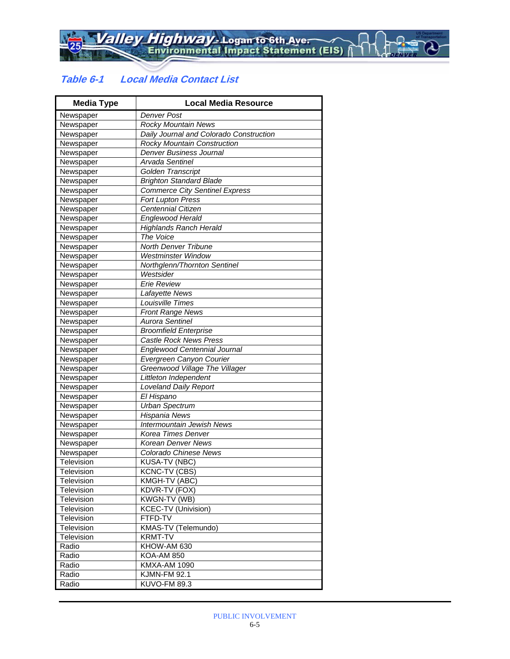### **Table 6-1 Local Media Contact List**

| <b>Media Type</b> | <b>Local Media Resource</b>             |
|-------------------|-----------------------------------------|
| Newspaper         | <b>Denver Post</b>                      |
| Newspaper         | <b>Rocky Mountain News</b>              |
| Newspaper         | Daily Journal and Colorado Construction |
| Newspaper         | <b>Rocky Mountain Construction</b>      |
| Newspaper         | Denver Business Journal                 |
| Newspaper         | Arvada Sentinel                         |
| Newspaper         | Golden Transcript                       |
| Newspaper         | <b>Brighton Standard Blade</b>          |
| Newspaper         | <b>Commerce City Sentinel Express</b>   |
| Newspaper         | Fort Lupton Press                       |
| Newspaper         | <b>Centennial Citizen</b>               |
| Newspaper         | Englewood Herald                        |
| Newspaper         | <b>Highlands Ranch Herald</b>           |
| Newspaper         | The Voice                               |
| Newspaper         | North Denver Tribune                    |
| Newspaper         | <b>Westminster Window</b>               |
| Newspaper         | Northglenn/Thornton Sentinel            |
| Newspaper         | Westsider                               |
| Newspaper         | <b>Erie Review</b>                      |
| Newspaper         | Lafayette News                          |
| Newspaper         | Louisville Times                        |
| Newspaper         | <b>Front Range News</b>                 |
| Newspaper         | <b>Aurora Sentinel</b>                  |
| Newspaper         | <b>Broomfield Enterprise</b>            |
| Newspaper         | <b>Castle Rock News Press</b>           |
| Newspaper         | Englewood Centennial Journal            |
| Newspaper         | Evergreen Canyon Courier                |
| Newspaper         | Greenwood Village The Villager          |
| Newspaper         | Littleton Independent                   |
| Newspaper         | <b>Loveland Daily Report</b>            |
| Newspaper         | El Hispano                              |
| Newspaper         | <b>Urban Spectrum</b>                   |
| Newspaper         | Hispania News                           |
| Newspaper         | Intermountain Jewish News               |
| Newspaper         | Korea Times Denver                      |
| Newspaper         | Korean Denver News                      |
| Newspaper         | Colorado Chinese News                   |
| Television        | KUSA-TV (NBC)                           |
| Television        | <b>KCNC-TV (CBS)</b>                    |
| Television        | KMGH-TV (ABC)                           |
| Television        | KDVR-TV (FOX)                           |
| Television        | KWGN-TV (WB)                            |
| Television        | <b>KCEC-TV (Univision)</b>              |
| Television        | FTFD-TV                                 |
| Television        | KMAS-TV (Telemundo)                     |
| Television        | <b>KRMT-TV</b>                          |
| Radio             | KHOW-AM 630                             |
| Radio             | <b>KOA-AM 850</b>                       |
| Radio             | <b>KMXA-AM 1090</b>                     |
| Radio             | <b>KJMN-FM 92.1</b>                     |
| Radio             | <b>KUVO-FM 89.3</b>                     |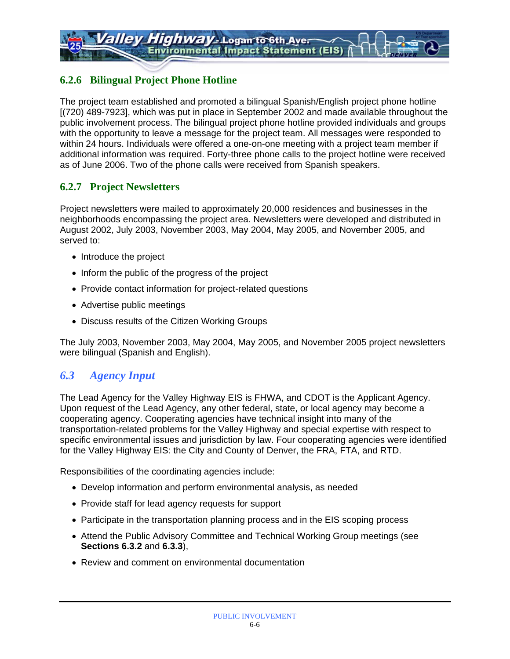### **6.2.6 Bilingual Project Phone Hotline**

The project team established and promoted a bilingual Spanish/English project phone hotline [(720) 489-7923], which was put in place in September 2002 and made available throughout the public involvement process. The bilingual project phone hotline provided individuals and groups with the opportunity to leave a message for the project team. All messages were responded to within 24 hours. Individuals were offered a one-on-one meeting with a project team member if additional information was required. Forty-three phone calls to the project hotline were received as of June 2006. Two of the phone calls were received from Spanish speakers.

### **6.2.7 Project Newsletters**

Project newsletters were mailed to approximately 20,000 residences and businesses in the neighborhoods encompassing the project area. Newsletters were developed and distributed in August 2002, July 2003, November 2003, May 2004, May 2005, and November 2005, and served to:

- Introduce the project
- Inform the public of the progress of the project
- Provide contact information for project-related questions
- Advertise public meetings
- Discuss results of the Citizen Working Groups

The July 2003, November 2003, May 2004, May 2005, and November 2005 project newsletters were bilingual (Spanish and English).

### *6.3 Agency Input*

The Lead Agency for the Valley Highway EIS is FHWA, and CDOT is the Applicant Agency. Upon request of the Lead Agency, any other federal, state, or local agency may become a cooperating agency. Cooperating agencies have technical insight into many of the transportation-related problems for the Valley Highway and special expertise with respect to specific environmental issues and jurisdiction by law. Four cooperating agencies were identified for the Valley Highway EIS: the City and County of Denver, the FRA, FTA, and RTD.

Responsibilities of the coordinating agencies include:

- Develop information and perform environmental analysis, as needed
- Provide staff for lead agency requests for support
- Participate in the transportation planning process and in the EIS scoping process
- Attend the Public Advisory Committee and Technical Working Group meetings (see **Sections 6.3.2** and **6.3.3**),
- Review and comment on environmental documentation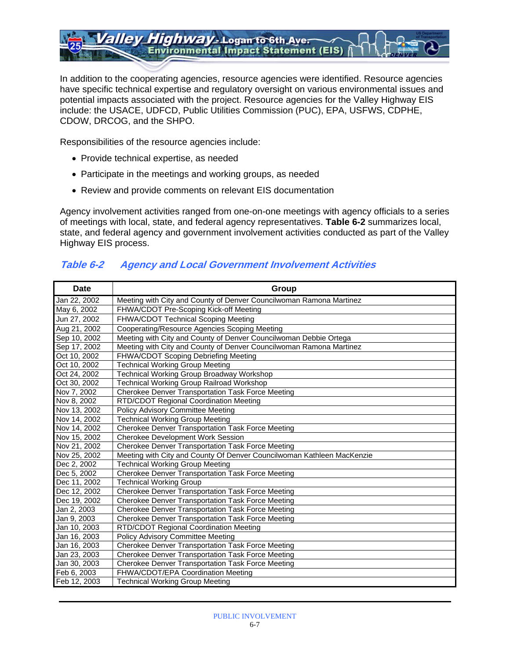*Highway* - Logan to 6th Aver allev **Environmental Impact Statement (EIS)** 

In addition to the cooperating agencies, resource agencies were identified. Resource agencies have specific technical expertise and regulatory oversight on various environmental issues and potential impacts associated with the project. Resource agencies for the Valley Highway EIS include: the USACE, UDFCD, Public Utilities Commission (PUC), EPA, USFWS, CDPHE, CDOW, DRCOG, and the SHPO.

Responsibilities of the resource agencies include:

- Provide technical expertise, as needed
- Participate in the meetings and working groups, as needed
- Review and provide comments on relevant EIS documentation

Agency involvement activities ranged from one-on-one meetings with agency officials to a series of meetings with local, state, and federal agency representatives. **Table 6-2** summarizes local, state, and federal agency and government involvement activities conducted as part of the Valley Highway EIS process.

### **Table 6-2 Agency and Local Government Involvement Activities**

| <b>Date</b>  | Group                                                                  |
|--------------|------------------------------------------------------------------------|
| Jan 22, 2002 | Meeting with City and County of Denver Councilwoman Ramona Martinez    |
| May 6, 2002  | FHWA/CDOT Pre-Scoping Kick-off Meeting                                 |
| Jun 27, 2002 | FHWA/CDOT Technical Scoping Meeting                                    |
| Aug 21, 2002 | Cooperating/Resource Agencies Scoping Meeting                          |
| Sep 10, 2002 | Meeting with City and County of Denver Councilwoman Debbie Ortega      |
| Sep 17, 2002 | Meeting with City and County of Denver Councilwoman Ramona Martinez    |
| Oct 10, 2002 | FHWA/CDOT Scoping Debriefing Meeting                                   |
| Oct 10, 2002 | <b>Technical Working Group Meeting</b>                                 |
| Oct 24, 2002 | <b>Technical Working Group Broadway Workshop</b>                       |
| Oct 30, 2002 | <b>Technical Working Group Railroad Workshop</b>                       |
| Nov 7, 2002  | Cherokee Denver Transportation Task Force Meeting                      |
| Nov 8, 2002  | RTD/CDOT Regional Coordination Meeting                                 |
| Nov 13, 2002 | Policy Advisory Committee Meeting                                      |
| Nov 14, 2002 | <b>Technical Working Group Meeting</b>                                 |
| Nov 14, 2002 | Cherokee Denver Transportation Task Force Meeting                      |
| Nov 15, 2002 | <b>Cherokee Development Work Session</b>                               |
| Nov 21, 2002 | Cherokee Denver Transportation Task Force Meeting                      |
| Nov 25, 2002 | Meeting with City and County Of Denver Councilwoman Kathleen MacKenzie |
| Dec 2, 2002  | <b>Technical Working Group Meeting</b>                                 |
| Dec 5, 2002  | Cherokee Denver Transportation Task Force Meeting                      |
| Dec 11, 2002 | <b>Technical Working Group</b>                                         |
| Dec 12, 2002 | Cherokee Denver Transportation Task Force Meeting                      |
| Dec 19, 2002 | Cherokee Denver Transportation Task Force Meeting                      |
| Jan 2, 2003  | Cherokee Denver Transportation Task Force Meeting                      |
| Jan 9, 2003  | Cherokee Denver Transportation Task Force Meeting                      |
| Jan 10, 2003 | RTD/CDOT Regional Coordination Meeting                                 |
| Jan 16, 2003 | Policy Advisory Committee Meeting                                      |
| Jan 16, 2003 | Cherokee Denver Transportation Task Force Meeting                      |
| Jan 23, 2003 | <b>Cherokee Denver Transportation Task Force Meeting</b>               |
| Jan 30, 2003 | Cherokee Denver Transportation Task Force Meeting                      |
| Feb 6, 2003  | FHWA/CDOT/EPA Coordination Meeting                                     |
| Feb 12, 2003 | <b>Technical Working Group Meeting</b>                                 |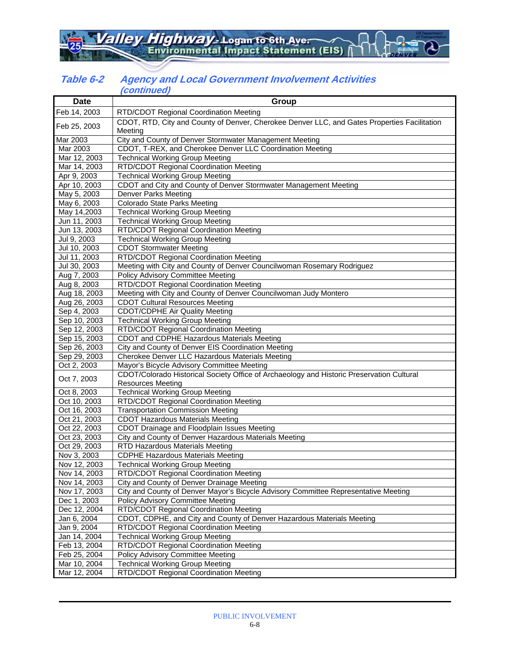#### **Table 6-2 Agency and Local Government Involvement Activities (continued)**

| <b>Date</b>  | <u>ommuod</u><br>Group                                                                                  |
|--------------|---------------------------------------------------------------------------------------------------------|
| Feb 14, 2003 |                                                                                                         |
|              | RTD/CDOT Regional Coordination Meeting                                                                  |
| Feb 25, 2003 | CDOT, RTD, City and County of Denver, Cherokee Denver LLC, and Gates Properties Facilitation<br>Meeting |
| Mar 2003     | City and County of Denver Stormwater Management Meeting                                                 |
| Mar 2003     | CDOT, T-REX, and Cherokee Denver LLC Coordination Meeting                                               |
| Mar 12, 2003 | <b>Technical Working Group Meeting</b>                                                                  |
| Mar 14, 2003 | RTD/CDOT Regional Coordination Meeting                                                                  |
| Apr 9, 2003  | <b>Technical Working Group Meeting</b>                                                                  |
| Apr 10, 2003 | CDOT and City and County of Denver Stormwater Management Meeting                                        |
| May 5, 2003  | <b>Denver Parks Meeting</b>                                                                             |
| May 6, 2003  | Colorado State Parks Meeting                                                                            |
| May 14,2003  | <b>Technical Working Group Meeting</b>                                                                  |
| Jun 11, 2003 | <b>Technical Working Group Meeting</b>                                                                  |
| Jun 13, 2003 | RTD/CDOT Regional Coordination Meeting                                                                  |
| Jul 9, 2003  | <b>Technical Working Group Meeting</b>                                                                  |
| Jul 10, 2003 | <b>CDOT Stormwater Meeting</b>                                                                          |
| Jul 11, 2003 | RTD/CDOT Regional Coordination Meeting                                                                  |
| Jul 30, 2003 | Meeting with City and County of Denver Councilwoman Rosemary Rodriguez                                  |
| Aug 7, 2003  | <b>Policy Advisory Committee Meeting</b>                                                                |
| Aug 8, 2003  | RTD/CDOT Regional Coordination Meeting                                                                  |
| Aug 18, 2003 | Meeting with City and County of Denver Councilwoman Judy Montero                                        |
| Aug 26, 2003 | <b>CDOT Cultural Resources Meeting</b>                                                                  |
| Sep 4, 2003  | <b>CDOT/CDPHE Air Quality Meeting</b>                                                                   |
| Sep 10, 2003 | <b>Technical Working Group Meeting</b>                                                                  |
| Sep 12, 2003 | RTD/CDOT Regional Coordination Meeting                                                                  |
| Sep 15, 2003 | CDOT and CDPHE Hazardous Materials Meeting                                                              |
| Sep 26, 2003 | City and County of Denver EIS Coordination Meeting                                                      |
| Sep 29, 2003 | Cherokee Denver LLC Hazardous Materials Meeting                                                         |
| Oct 2, 2003  | Mayor's Bicycle Advisory Committee Meeting                                                              |
| Oct 7, 2003  | CDOT/Colorado Historical Society Office of Archaeology and Historic Preservation Cultural               |
|              | <b>Resources Meeting</b>                                                                                |
| Oct 8, 2003  | <b>Technical Working Group Meeting</b>                                                                  |
| Oct 10, 2003 | RTD/CDOT Regional Coordination Meeting                                                                  |
| Oct 16, 2003 | <b>Transportation Commission Meeting</b>                                                                |
| Oct 21, 2003 | <b>CDOT Hazardous Materials Meeting</b>                                                                 |
| Oct 22, 2003 | CDOT Drainage and Floodplain Issues Meeting                                                             |
| Oct 23, 2003 | City and County of Denver Hazardous Materials Meeting                                                   |
| Oct 29, 2003 | <b>RTD Hazardous Materials Meeting</b>                                                                  |
| Nov 3, 2003  | <b>CDPHE Hazardous Materials Meeting</b>                                                                |
| Nov 12, 2003 | <b>Technical Working Group Meeting</b>                                                                  |
| Nov 14, 2003 | RTD/CDOT Regional Coordination Meeting                                                                  |
| Nov 14, 2003 | City and County of Denver Drainage Meeting                                                              |
| Nov 17, 2003 | City and County of Denver Mayor's Bicycle Advisory Committee Representative Meeting                     |
| Dec 1, 2003  | Policy Advisory Committee Meeting                                                                       |
| Dec 12, 2004 | RTD/CDOT Regional Coordination Meeting                                                                  |
| Jan 6, 2004  | CDOT, CDPHE, and City and County of Denver Hazardous Materials Meeting                                  |
| Jan 9, 2004  | RTD/CDOT Regional Coordination Meeting                                                                  |
| Jan 14, 2004 | <b>Technical Working Group Meeting</b>                                                                  |
| Feb 13, 2004 | RTD/CDOT Regional Coordination Meeting                                                                  |
| Feb 25, 2004 | Policy Advisory Committee Meeting                                                                       |
| Mar 10, 2004 | <b>Technical Working Group Meeting</b>                                                                  |
| Mar 12, 2004 | RTD/CDOT Regional Coordination Meeting                                                                  |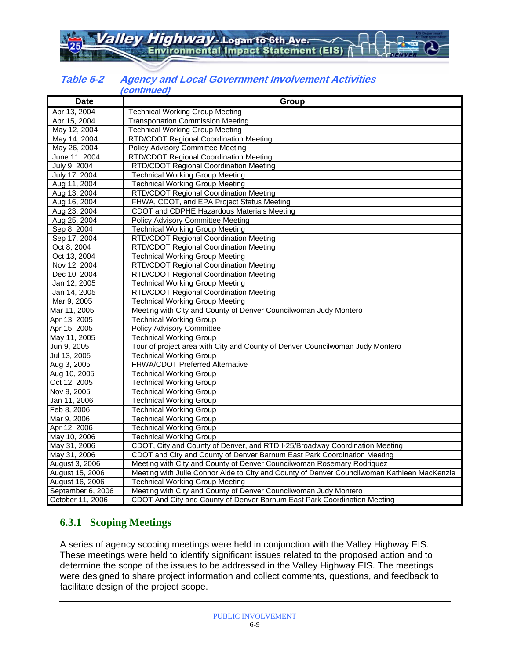#### **Table 6-2 Agency and Local Government Involvement Activities (continued)**

| <b>Date</b>       | ,,,,,,,,,,,,,,<br>Group                                                                     |
|-------------------|---------------------------------------------------------------------------------------------|
| Apr 13, 2004      | <b>Technical Working Group Meeting</b>                                                      |
| Apr 15, 2004      | <b>Transportation Commission Meeting</b>                                                    |
| May 12, 2004      | <b>Technical Working Group Meeting</b>                                                      |
| May 14, 2004      | RTD/CDOT Regional Coordination Meeting                                                      |
| May 26, 2004      | <b>Policy Advisory Committee Meeting</b>                                                    |
| June 11, 2004     | <b>RTD/CDOT Regional Coordination Meeting</b>                                               |
| July 9, 2004      | RTD/CDOT Regional Coordination Meeting                                                      |
| July 17, 2004     | <b>Technical Working Group Meeting</b>                                                      |
| Aug 11, 2004      | <b>Technical Working Group Meeting</b>                                                      |
| Aug 13, 2004      | RTD/CDOT Regional Coordination Meeting                                                      |
| Aug 16, 2004      | FHWA, CDOT, and EPA Project Status Meeting                                                  |
| Aug 23, 2004      | CDOT and CDPHE Hazardous Materials Meeting                                                  |
| Aug 25, 2004      | <b>Policy Advisory Committee Meeting</b>                                                    |
| Sep 8, 2004       | <b>Technical Working Group Meeting</b>                                                      |
| Sep 17, 2004      | RTD/CDOT Regional Coordination Meeting                                                      |
| Oct 8, 2004       | RTD/CDOT Regional Coordination Meeting                                                      |
| Oct 13, 2004      | <b>Technical Working Group Meeting</b>                                                      |
| Nov 12, 2004      | RTD/CDOT Regional Coordination Meeting                                                      |
| Dec 10, 2004      | RTD/CDOT Regional Coordination Meeting                                                      |
| Jan 12, 2005      | <b>Technical Working Group Meeting</b>                                                      |
| Jan 14, 2005      | RTD/CDOT Regional Coordination Meeting                                                      |
| Mar 9, 2005       | <b>Technical Working Group Meeting</b>                                                      |
| Mar 11, 2005      | Meeting with City and County of Denver Councilwoman Judy Montero                            |
| Apr 13, 2005      | <b>Technical Working Group</b>                                                              |
| Apr 15, 2005      | <b>Policy Advisory Committee</b>                                                            |
| May 11, 2005      | <b>Technical Working Group</b>                                                              |
| Jun 9, 2005       | Tour of project area with City and County of Denver Councilwoman Judy Montero               |
| Jul 13, 2005      | <b>Technical Working Group</b>                                                              |
| Aug 3, 2005       | FHWA/CDOT Preferred Alternative                                                             |
| Aug 10, 2005      | <b>Technical Working Group</b>                                                              |
| Oct 12, 2005      | <b>Technical Working Group</b>                                                              |
| Nov 9, 2005       | <b>Technical Working Group</b>                                                              |
| Jan 11, 2006      | <b>Technical Working Group</b>                                                              |
| Feb 8, 2006       | <b>Technical Working Group</b>                                                              |
| Mar 9, 2006       | <b>Technical Working Group</b>                                                              |
| Apr 12, 2006      | <b>Technical Working Group</b>                                                              |
| May 10, 2006      | <b>Technical Working Group</b>                                                              |
| May 31, 2006      | CDOT, City and County of Denver, and RTD I-25/Broadway Coordination Meeting                 |
| May 31, 2006      | CDOT and City and County of Denver Barnum East Park Coordination Meeting                    |
| August 3, 2006    | Meeting with City and County of Denver Councilwoman Rosemary Rodriquez                      |
| August 15, 2006   | Meeting with Julie Connor Aide to City and County of Denver Councilwoman Kathleen MacKenzie |
| August 16, 2006   | <b>Technical Working Group Meeting</b>                                                      |
| September 6, 2006 | Meeting with City and County of Denver Councilwoman Judy Montero                            |
| October 11, 2006  | CDOT And City and County of Denver Barnum East Park Coordination Meeting                    |

### **6.3.1 Scoping Meetings**

A series of agency scoping meetings were held in conjunction with the Valley Highway EIS. These meetings were held to identify significant issues related to the proposed action and to determine the scope of the issues to be addressed in the Valley Highway EIS. The meetings were designed to share project information and collect comments, questions, and feedback to facilitate design of the project scope.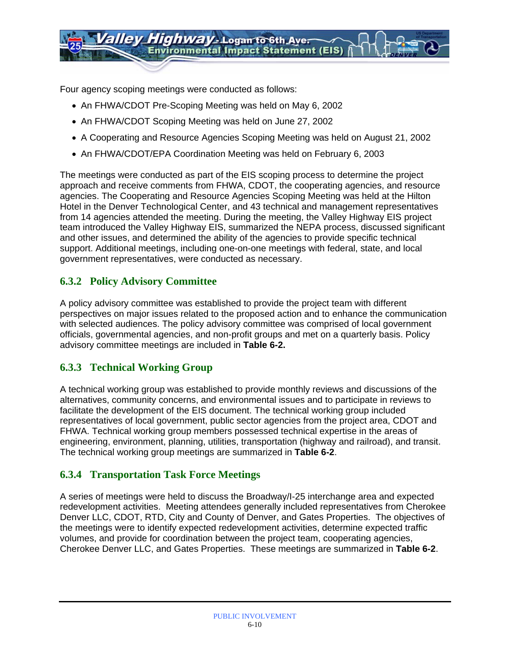Four agency scoping meetings were conducted as follows:

- An FHWA/CDOT Pre-Scoping Meeting was held on May 6, 2002
- An FHWA/CDOT Scoping Meeting was held on June 27, 2002
- A Cooperating and Resource Agencies Scoping Meeting was held on August 21, 2002
- An FHWA/CDOT/EPA Coordination Meeting was held on February 6, 2003

The meetings were conducted as part of the EIS scoping process to determine the project approach and receive comments from FHWA, CDOT, the cooperating agencies, and resource agencies. The Cooperating and Resource Agencies Scoping Meeting was held at the Hilton Hotel in the Denver Technological Center, and 43 technical and management representatives from 14 agencies attended the meeting. During the meeting, the Valley Highway EIS project team introduced the Valley Highway EIS, summarized the NEPA process, discussed significant and other issues, and determined the ability of the agencies to provide specific technical support. Additional meetings, including one-on-one meetings with federal, state, and local government representatives, were conducted as necessary.

### **6.3.2 Policy Advisory Committee**

A policy advisory committee was established to provide the project team with different perspectives on major issues related to the proposed action and to enhance the communication with selected audiences. The policy advisory committee was comprised of local government officials, governmental agencies, and non-profit groups and met on a quarterly basis. Policy advisory committee meetings are included in **Table 6-2.** 

### **6.3.3 Technical Working Group**

A technical working group was established to provide monthly reviews and discussions of the alternatives, community concerns, and environmental issues and to participate in reviews to facilitate the development of the EIS document. The technical working group included representatives of local government, public sector agencies from the project area, CDOT and FHWA. Technical working group members possessed technical expertise in the areas of engineering, environment, planning, utilities, transportation (highway and railroad), and transit. The technical working group meetings are summarized in **Table 6-2**.

### **6.3.4 Transportation Task Force Meetings**

A series of meetings were held to discuss the Broadway/I-25 interchange area and expected redevelopment activities. Meeting attendees generally included representatives from Cherokee Denver LLC, CDOT, RTD, City and County of Denver, and Gates Properties. The objectives of the meetings were to identify expected redevelopment activities, determine expected traffic volumes, and provide for coordination between the project team, cooperating agencies, Cherokee Denver LLC, and Gates Properties. These meetings are summarized in **Table 6-2**.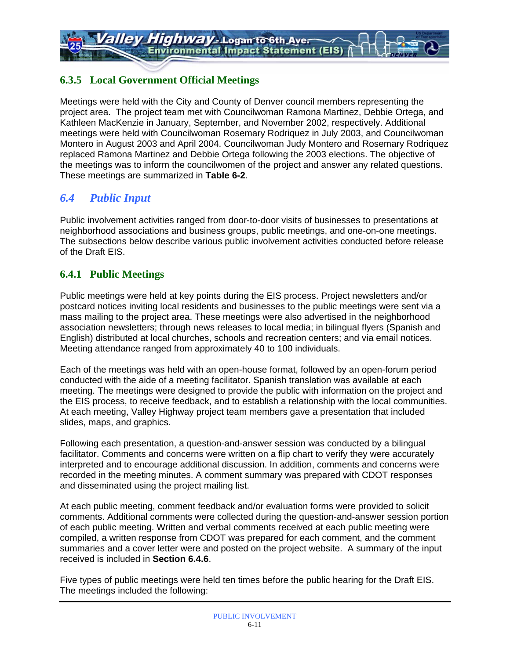### **6.3.5 Local Government Official Meetings**

Meetings were held with the City and County of Denver council members representing the project area. The project team met with Councilwoman Ramona Martinez, Debbie Ortega, and Kathleen MacKenzie in January, September, and November 2002, respectively. Additional meetings were held with Councilwoman Rosemary Rodriquez in July 2003, and Councilwoman Montero in August 2003 and April 2004. Councilwoman Judy Montero and Rosemary Rodriquez replaced Ramona Martinez and Debbie Ortega following the 2003 elections. The objective of the meetings was to inform the councilwomen of the project and answer any related questions. These meetings are summarized in **Table 6-2**.

### *6.4 Public Input*

Public involvement activities ranged from door-to-door visits of businesses to presentations at neighborhood associations and business groups, public meetings, and one-on-one meetings. The subsections below describe various public involvement activities conducted before release of the Draft EIS.

### **6.4.1 Public Meetings**

Public meetings were held at key points during the EIS process. Project newsletters and/or postcard notices inviting local residents and businesses to the public meetings were sent via a mass mailing to the project area. These meetings were also advertised in the neighborhood association newsletters; through news releases to local media; in bilingual flyers (Spanish and English) distributed at local churches, schools and recreation centers; and via email notices. Meeting attendance ranged from approximately 40 to 100 individuals.

Each of the meetings was held with an open-house format, followed by an open-forum period conducted with the aide of a meeting facilitator. Spanish translation was available at each meeting. The meetings were designed to provide the public with information on the project and the EIS process, to receive feedback, and to establish a relationship with the local communities. At each meeting, Valley Highway project team members gave a presentation that included slides, maps, and graphics.

Following each presentation, a question-and-answer session was conducted by a bilingual facilitator. Comments and concerns were written on a flip chart to verify they were accurately interpreted and to encourage additional discussion. In addition, comments and concerns were recorded in the meeting minutes. A comment summary was prepared with CDOT responses and disseminated using the project mailing list.

At each public meeting, comment feedback and/or evaluation forms were provided to solicit comments. Additional comments were collected during the question-and-answer session portion of each public meeting. Written and verbal comments received at each public meeting were compiled, a written response from CDOT was prepared for each comment, and the comment summaries and a cover letter were and posted on the project website. A summary of the input received is included in **Section 6.4.6**.

Five types of public meetings were held ten times before the public hearing for the Draft EIS. The meetings included the following: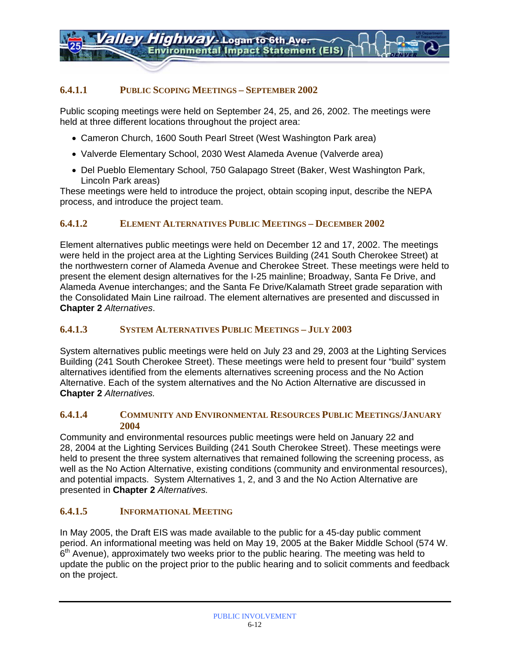#### **6.4.1.1 PUBLIC SCOPING MEETINGS – SEPTEMBER 2002**

Public scoping meetings were held on September 24, 25, and 26, 2002. The meetings were held at three different locations throughout the project area:

- Cameron Church, 1600 South Pearl Street (West Washington Park area)
- Valverde Elementary School, 2030 West Alameda Avenue (Valverde area)
- Del Pueblo Elementary School, 750 Galapago Street (Baker, West Washington Park, Lincoln Park areas)

These meetings were held to introduce the project, obtain scoping input, describe the NEPA process, and introduce the project team.

#### **6.4.1.2 ELEMENT ALTERNATIVES PUBLIC MEETINGS – DECEMBER 2002**

Element alternatives public meetings were held on December 12 and 17, 2002. The meetings were held in the project area at the Lighting Services Building (241 South Cherokee Street) at the northwestern corner of Alameda Avenue and Cherokee Street. These meetings were held to present the element design alternatives for the I-25 mainline; Broadway, Santa Fe Drive, and Alameda Avenue interchanges; and the Santa Fe Drive/Kalamath Street grade separation with the Consolidated Main Line railroad. The element alternatives are presented and discussed in **Chapter 2** *Alternatives*.

#### **6.4.1.3 SYSTEM ALTERNATIVES PUBLIC MEETINGS – JULY 2003**

System alternatives public meetings were held on July 23 and 29, 2003 at the Lighting Services Building (241 South Cherokee Street). These meetings were held to present four "build" system alternatives identified from the elements alternatives screening process and the No Action Alternative. Each of the system alternatives and the No Action Alternative are discussed in **Chapter 2** *Alternatives.*

#### **6.4.1.4 COMMUNITY AND ENVIRONMENTAL RESOURCES PUBLIC MEETINGS/JANUARY 2004**

Community and environmental resources public meetings were held on January 22 and 28, 2004 at the Lighting Services Building (241 South Cherokee Street). These meetings were held to present the three system alternatives that remained following the screening process, as well as the No Action Alternative, existing conditions (community and environmental resources), and potential impacts. System Alternatives 1, 2, and 3 and the No Action Alternative are presented in **Chapter 2** *Alternatives.* 

#### **6.4.1.5 INFORMATIONAL MEETING**

In May 2005, the Draft EIS was made available to the public for a 45-day public comment period. An informational meeting was held on May 19, 2005 at the Baker Middle School (574 W.  $6<sup>th</sup>$  Avenue), approximately two weeks prior to the public hearing. The meeting was held to update the public on the project prior to the public hearing and to solicit comments and feedback on the project.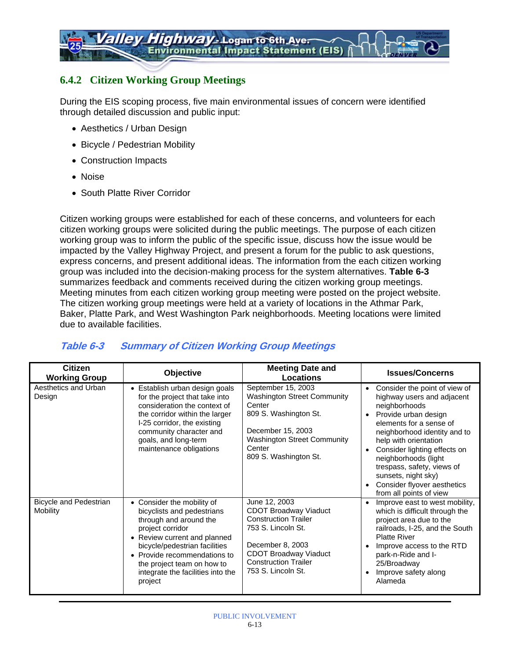### **6.4.2 Citizen Working Group Meetings**

During the EIS scoping process, five main environmental issues of concern were identified through detailed discussion and public input:

- Aesthetics / Urban Design
- Bicycle / Pedestrian Mobility
- Construction Impacts
- Noise
- South Platte River Corridor

Citizen working groups were established for each of these concerns, and volunteers for each citizen working groups were solicited during the public meetings. The purpose of each citizen working group was to inform the public of the specific issue, discuss how the issue would be impacted by the Valley Highway Project, and present a forum for the public to ask questions, express concerns, and present additional ideas. The information from the each citizen working group was included into the decision-making process for the system alternatives. **Table 6-3** summarizes feedback and comments received during the citizen working group meetings. Meeting minutes from each citizen working group meeting were posted on the project website. The citizen working group meetings were held at a variety of locations in the Athmar Park, Baker, Platte Park, and West Washington Park neighborhoods. Meeting locations were limited due to available facilities.

### **Table 6-3 Summary of Citizen Working Group Meetings**

| <b>Citizen</b><br><b>Working Group</b> | Objective                                                                                                                                                                                                                                                                                        | <b>Meeting Date and</b><br>Locations                                                                                                                                                                        | <b>Issues/Concerns</b>                                                                                                                                                                                                                                                                                                                                                                    |
|----------------------------------------|--------------------------------------------------------------------------------------------------------------------------------------------------------------------------------------------------------------------------------------------------------------------------------------------------|-------------------------------------------------------------------------------------------------------------------------------------------------------------------------------------------------------------|-------------------------------------------------------------------------------------------------------------------------------------------------------------------------------------------------------------------------------------------------------------------------------------------------------------------------------------------------------------------------------------------|
| Aesthetics and Urban<br>Design         | • Establish urban design goals<br>for the project that take into<br>consideration the context of<br>the corridor within the larger<br>I-25 corridor, the existing<br>community character and<br>goals, and long-term<br>maintenance obligations                                                  | September 15, 2003<br><b>Washington Street Community</b><br>Center<br>809 S. Washington St.<br>December 15, 2003<br><b>Washington Street Community</b><br>Center<br>809 S. Washington St.                   | Consider the point of view of<br>$\bullet$<br>highway users and adjacent<br>neighborhoods<br>Provide urban design<br>$\bullet$<br>elements for a sense of<br>neighborhood identity and to<br>help with orientation<br>Consider lighting effects on<br>neighborhoods (light<br>trespass, safety, views of<br>sunsets, night sky)<br>Consider flyover aesthetics<br>from all points of view |
| Bicycle and Pedestrian<br>Mobility     | Consider the mobility of<br>$\bullet$<br>bicyclists and pedestrians<br>through and around the<br>project corridor<br>• Review current and planned<br>bicycle/pedestrian facilities<br>• Provide recommendations to<br>the project team on how to<br>integrate the facilities into the<br>project | June 12, 2003<br><b>CDOT Broadway Viaduct</b><br><b>Construction Trailer</b><br>753 S. Lincoln St.<br>December 8, 2003<br><b>CDOT Broadway Viaduct</b><br><b>Construction Trailer</b><br>753 S. Lincoln St. | Improve east to west mobility,<br>which is difficult through the<br>project area due to the<br>railroads, I-25, and the South<br><b>Platte River</b><br>Improve access to the RTD<br>park-n-Ride and I-<br>25/Broadway<br>Improve safety along<br>$\bullet$<br>Alameda                                                                                                                    |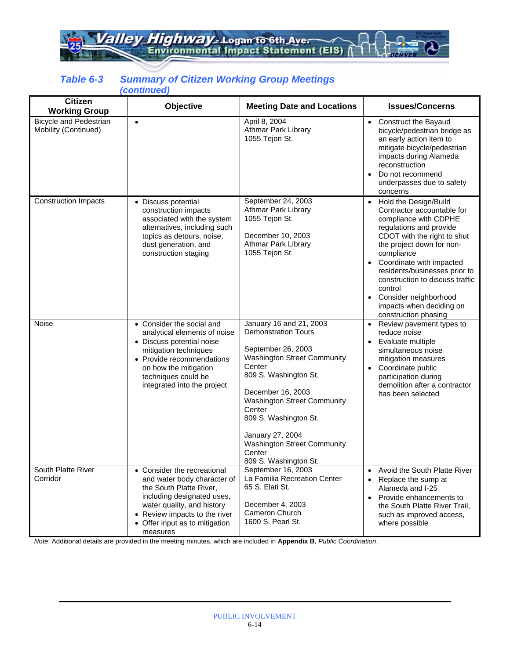alley Highway - Logan to 6th Ave.

#### *Table 6-3 Summary of Citizen Working Group Meetings (continued)*

| <b>Citizen</b><br><b>Working Group</b>                | Objective                                                                                                                                                                                                                              | <b>Meeting Date and Locations</b>                                                                                                                                                                                                                                                                                                        | <b>Issues/Concerns</b>                                                                                                                                                                                                                                                                                                                                                                 |
|-------------------------------------------------------|----------------------------------------------------------------------------------------------------------------------------------------------------------------------------------------------------------------------------------------|------------------------------------------------------------------------------------------------------------------------------------------------------------------------------------------------------------------------------------------------------------------------------------------------------------------------------------------|----------------------------------------------------------------------------------------------------------------------------------------------------------------------------------------------------------------------------------------------------------------------------------------------------------------------------------------------------------------------------------------|
| <b>Bicycle and Pedestrian</b><br>Mobility (Continued) | $\bullet$                                                                                                                                                                                                                              | April 8, 2004<br>Athmar Park Library<br>1055 Tejon St.                                                                                                                                                                                                                                                                                   | Construct the Bayaud<br>$\bullet$<br>bicycle/pedestrian bridge as<br>an early action item to<br>mitigate bicycle/pedestrian<br>impacts during Alameda<br>reconstruction<br>Do not recommend<br>underpasses due to safety<br>concerns                                                                                                                                                   |
| <b>Construction Impacts</b>                           | • Discuss potential<br>construction impacts<br>associated with the system<br>alternatives, including such<br>topics as detours, noise,<br>dust generation, and<br>construction staging                                                 | September 24, 2003<br>Athmar Park Library<br>1055 Tejon St.<br>December 10, 2003<br>Athmar Park Library<br>1055 Tejon St.                                                                                                                                                                                                                | Hold the Design/Build<br>$\bullet$<br>Contractor accountable for<br>compliance with CDPHE<br>regulations and provide<br>CDOT with the right to shut<br>the project down for non-<br>compliance<br>Coordinate with impacted<br>residents/businesses prior to<br>construction to discuss traffic<br>control<br>Consider neighborhood<br>impacts when deciding on<br>construction phasing |
| Noise                                                 | Consider the social and<br>$\bullet$<br>analytical elements of noise<br>• Discuss potential noise<br>mitigation techniques<br>• Provide recommendations<br>on how the mitigation<br>techniques could be<br>integrated into the project | January 16 and 21, 2003<br><b>Demonstration Tours</b><br>September 26, 2003<br><b>Washington Street Community</b><br>Center<br>809 S. Washington St.<br>December 16, 2003<br><b>Washington Street Community</b><br>Center<br>809 S. Washington St.<br>January 27, 2004<br>Washington Street Community<br>Center<br>809 S. Washington St. | Review pavement types to<br>$\bullet$<br>reduce noise<br>Evaluate multiple<br>$\bullet$<br>simultaneous noise<br>mitigation measures<br>Coordinate public<br>$\bullet$<br>participation during<br>demolition after a contractor<br>has been selected                                                                                                                                   |
| South Platte River<br>Corridor                        | • Consider the recreational<br>and water body character of<br>the South Platte River,<br>including designated uses,<br>water quality, and history<br>• Review impacts to the river<br>• Offer input as to mitigation<br>measures       | September 16, 2003<br>La Familia Recreation Center<br>65 S. Elati St.<br>December 4, 2003<br>Cameron Church<br>1600 S. Pearl St.                                                                                                                                                                                                         | Avoid the South Platte River<br>$\bullet$<br>Replace the sump at<br>$\bullet$<br>Alameda and I-25<br>Provide enhancements to<br>the South Platte River Trail,<br>such as improved access,<br>where possible                                                                                                                                                                            |

*Note*: Additional details are provided in the meeting minutes, which are included in **Appendix B**, *Public Coordination*.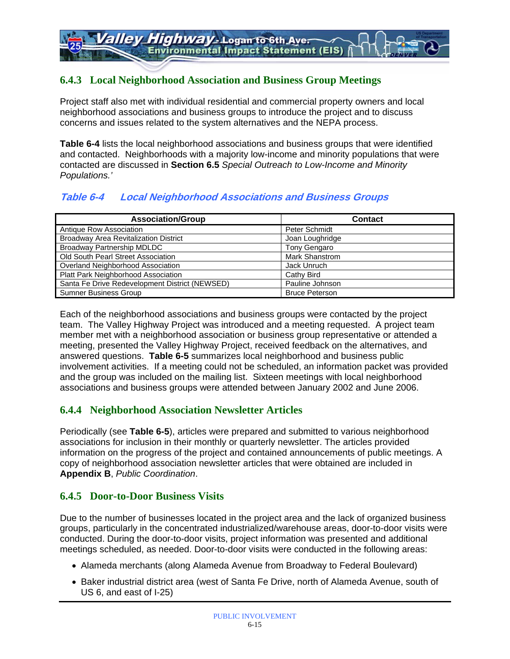### **6.4.3 Local Neighborhood Association and Business Group Meetings**

Project staff also met with individual residential and commercial property owners and local neighborhood associations and business groups to introduce the project and to discuss concerns and issues related to the system alternatives and the NEPA process.

**Table 6-4** lists the local neighborhood associations and business groups that were identified and contacted. Neighborhoods with a majority low-income and minority populations that were contacted are discussed in **Section 6.5** *Special Outreach to Low-Income and Minority Populations.'* 

### **Table 6-4 Local Neighborhood Associations and Business Groups**

| <b>Association/Group</b>                       | <b>Contact</b>        |
|------------------------------------------------|-----------------------|
| Antique Row Association                        | Peter Schmidt         |
| <b>Broadway Area Revitalization District</b>   | Joan Loughridge       |
| Broadway Partnership MDLDC                     | <b>Tony Gengaro</b>   |
| Old South Pearl Street Association             | <b>Mark Shanstrom</b> |
| Overland Neighborhood Association              | Jack Unruch           |
| Platt Park Neighborhood Association            | Cathy Bird            |
| Santa Fe Drive Redevelopment District (NEWSED) | Pauline Johnson       |
| <b>Sumner Business Group</b>                   | <b>Bruce Peterson</b> |

Each of the neighborhood associations and business groups were contacted by the project team. The Valley Highway Project was introduced and a meeting requested. A project team member met with a neighborhood association or business group representative or attended a meeting, presented the Valley Highway Project, received feedback on the alternatives, and answered questions. **Table 6-5** summarizes local neighborhood and business public involvement activities. If a meeting could not be scheduled, an information packet was provided and the group was included on the mailing list. Sixteen meetings with local neighborhood associations and business groups were attended between January 2002 and June 2006.

### **6.4.4 Neighborhood Association Newsletter Articles**

Periodically (see **Table 6-5**), articles were prepared and submitted to various neighborhood associations for inclusion in their monthly or quarterly newsletter. The articles provided information on the progress of the project and contained announcements of public meetings. A copy of neighborhood association newsletter articles that were obtained are included in **Appendix B**, *Public Coordination*.

### **6.4.5 Door-to-Door Business Visits**

Due to the number of businesses located in the project area and the lack of organized business groups, particularly in the concentrated industrialized/warehouse areas, door-to-door visits were conducted. During the door-to-door visits, project information was presented and additional meetings scheduled, as needed. Door-to-door visits were conducted in the following areas:

- Alameda merchants (along Alameda Avenue from Broadway to Federal Boulevard)
- Baker industrial district area (west of Santa Fe Drive, north of Alameda Avenue, south of US 6, and east of I-25)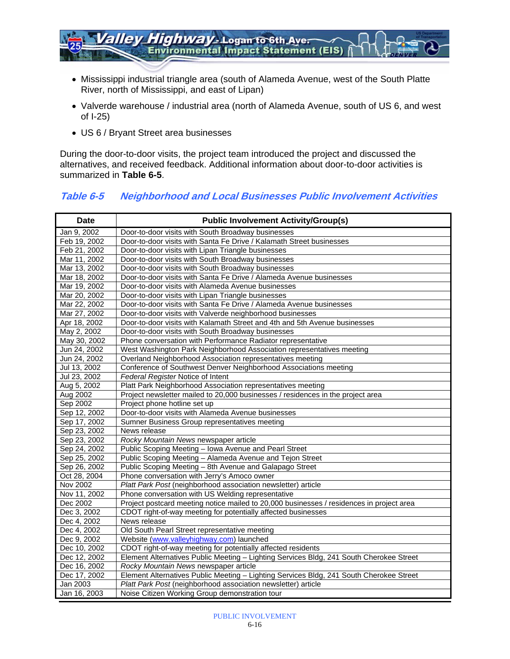

- Mississippi industrial triangle area (south of Alameda Avenue, west of the South Platte River, north of Mississippi, and east of Lipan)
- Valverde warehouse / industrial area (north of Alameda Avenue, south of US 6, and west of I-25)
- US 6 / Bryant Street area businesses

During the door-to-door visits, the project team introduced the project and discussed the alternatives, and received feedback. Additional information about door-to-door activities is summarized in **Table 6-5**.

#### **Table 6-5 Neighborhood and Local Businesses Public Involvement Activities**

| <b>Date</b>  | <b>Public Involvement Activity/Group(s)</b>                                              |
|--------------|------------------------------------------------------------------------------------------|
| Jan 9, 2002  | Door-to-door visits with South Broadway businesses                                       |
| Feb 19, 2002 | Door-to-door visits with Santa Fe Drive / Kalamath Street businesses                     |
| Feb 21, 2002 | Door-to-door visits with Lipan Triangle businesses                                       |
| Mar 11, 2002 | Door-to-door visits with South Broadway businesses                                       |
| Mar 13, 2002 | Door-to-door visits with South Broadway businesses                                       |
| Mar 18, 2002 | Door-to-door visits with Santa Fe Drive / Alameda Avenue businesses                      |
| Mar 19, 2002 | Door-to-door visits with Alameda Avenue businesses                                       |
| Mar 20, 2002 | Door-to-door visits with Lipan Triangle businesses                                       |
| Mar 22, 2002 | Door-to-door visits with Santa Fe Drive / Alameda Avenue businesses                      |
| Mar 27, 2002 | Door-to-door visits with Valverde neighborhood businesses                                |
| Apr 18, 2002 | Door-to-door visits with Kalamath Street and 4th and 5th Avenue businesses               |
| May 2, 2002  | Door-to-door visits with South Broadway businesses                                       |
| May 30, 2002 | Phone conversation with Performance Radiator representative                              |
| Jun 24, 2002 | West Washington Park Neighborhood Association representatives meeting                    |
| Jun 24, 2002 | Overland Neighborhood Association representatives meeting                                |
| Jul 13, 2002 | Conference of Southwest Denver Neighborhood Associations meeting                         |
| Jul 23, 2002 | Federal Register Notice of Intent                                                        |
| Aug 5, 2002  | Platt Park Neighborhood Association representatives meeting                              |
| Aug 2002     | Project newsletter mailed to 20,000 businesses / residences in the project area          |
| Sep 2002     | Project phone hotline set up                                                             |
| Sep 12, 2002 | Door-to-door visits with Alameda Avenue businesses                                       |
| Sep 17, 2002 | Sumner Business Group representatives meeting                                            |
| Sep 23, 2002 | News release                                                                             |
| Sep 23, 2002 | Rocky Mountain News newspaper article                                                    |
| Sep 24, 2002 | Public Scoping Meeting - Iowa Avenue and Pearl Street                                    |
| Sep 25, 2002 | Public Scoping Meeting - Alameda Avenue and Tejon Street                                 |
| Sep 26, 2002 | Public Scoping Meeting - 8th Avenue and Galapago Street                                  |
| Oct 28, 2004 | Phone conversation with Jerry's Amoco owner                                              |
| Nov 2002     | Platt Park Post (neighborhood association newsletter) article                            |
| Nov 11, 2002 | Phone conversation with US Welding representative                                        |
| Dec 2002     | Project postcard meeting notice mailed to 20,000 businesses / residences in project area |
| Dec 3, 2002  | CDOT right-of-way meeting for potentially affected businesses                            |
| Dec 4, 2002  | News release                                                                             |
| Dec 4, 2002  | Old South Pearl Street representative meeting                                            |
| Dec 9, 2002  | Website (www.valleyhighway.com) launched                                                 |
| Dec 10, 2002 | CDOT right-of-way meeting for potentially affected residents                             |
| Dec 12, 2002 | Element Alternatives Public Meeting - Lighting Services Bldg, 241 South Cherokee Street  |
| Dec 16, 2002 | Rocky Mountain News newspaper article                                                    |
| Dec 17, 2002 | Element Alternatives Public Meeting - Lighting Services Bldg, 241 South Cherokee Street  |
| Jan 2003     | Platt Park Post (neighborhood association newsletter) article                            |
| Jan 16, 2003 | Noise Citizen Working Group demonstration tour                                           |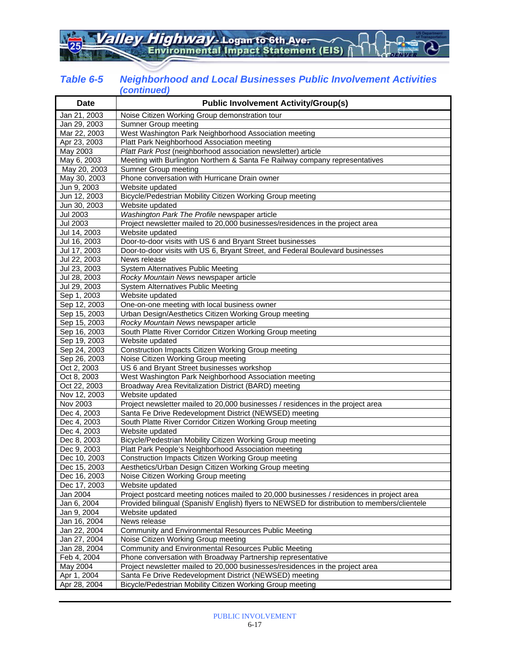#### *Table 6-5 Neighborhood and Local Businesses Public Involvement Activities (continued)*

| <b>Date</b>     | <b>Public Involvement Activity/Group(s)</b>                                                 |  |  |
|-----------------|---------------------------------------------------------------------------------------------|--|--|
| Jan 21, 2003    | Noise Citizen Working Group demonstration tour                                              |  |  |
| Jan 29, 2003    | Sumner Group meeting                                                                        |  |  |
| Mar 22, 2003    | West Washington Park Neighborhood Association meeting                                       |  |  |
| Apr 23, 2003    | Platt Park Neighborhood Association meeting                                                 |  |  |
| May 2003        | Platt Park Post (neighborhood association newsletter) article                               |  |  |
| May 6, 2003     | Meeting with Burlington Northern & Santa Fe Railway company representatives                 |  |  |
| May 20, 2003    | Sumner Group meeting                                                                        |  |  |
| May 30, 2003    | Phone conversation with Hurricane Drain owner                                               |  |  |
| Jun 9, 2003     | Website updated                                                                             |  |  |
| Jun 12, 2003    | Bicycle/Pedestrian Mobility Citizen Working Group meeting                                   |  |  |
| Jun 30, 2003    | Website updated                                                                             |  |  |
| <b>Jul 2003</b> | Washington Park The Profile newspaper article                                               |  |  |
| <b>Jul 2003</b> | Project newsletter mailed to 20,000 businesses/residences in the project area               |  |  |
| Jul 14, 2003    | Website updated                                                                             |  |  |
| Jul 16, 2003    | Door-to-door visits with US 6 and Bryant Street businesses                                  |  |  |
| Jul 17, 2003    | Door-to-door visits with US 6, Bryant Street, and Federal Boulevard businesses              |  |  |
| Jul 22, 2003    | News release                                                                                |  |  |
| Jul 23, 2003    | System Alternatives Public Meeting                                                          |  |  |
| Jul 28, 2003    | Rocky Mountain News newspaper article                                                       |  |  |
| Jul 29, 2003    | System Alternatives Public Meeting                                                          |  |  |
| Sep 1, 2003     | Website updated                                                                             |  |  |
| Sep 12, 2003    | One-on-one meeting with local business owner                                                |  |  |
| Sep 15, 2003    | Urban Design/Aesthetics Citizen Working Group meeting                                       |  |  |
| Sep 15, 2003    | Rocky Mountain News newspaper article                                                       |  |  |
| Sep 16, 2003    | South Platte River Corridor Citizen Working Group meeting                                   |  |  |
| Sep 19, 2003    | Website updated                                                                             |  |  |
| Sep 24, 2003    | Construction Impacts Citizen Working Group meeting                                          |  |  |
| Sep 26, 2003    | Noise Citizen Working Group meeting                                                         |  |  |
| Oct 2, 2003     | US 6 and Bryant Street businesses workshop                                                  |  |  |
| Oct 8, 2003     | West Washington Park Neighborhood Association meeting                                       |  |  |
| Oct 22, 2003    | Broadway Area Revitalization District (BARD) meeting                                        |  |  |
| Nov 12, 2003    | Website updated                                                                             |  |  |
| Nov 2003        | Project newsletter mailed to 20,000 businesses / residences in the project area             |  |  |
| Dec 4, 2003     | Santa Fe Drive Redevelopment District (NEWSED) meeting                                      |  |  |
| Dec 4, 2003     | South Platte River Corridor Citizen Working Group meeting                                   |  |  |
| Dec 4, 2003     | Website updated                                                                             |  |  |
| Dec 8, 2003     | Bicycle/Pedestrian Mobility Citizen Working Group meeting                                   |  |  |
| Dec 9, 2003     | Platt Park People's Neighborhood Association meeting                                        |  |  |
| Dec 10, 2003    | Construction Impacts Citizen Working Group meeting                                          |  |  |
| Dec 15, 2003    | Aesthetics/Urban Design Citizen Working Group meeting                                       |  |  |
| Dec 16, 2003    | Noise Citizen Working Group meeting                                                         |  |  |
| Dec 17, 2003    | Website updated                                                                             |  |  |
| Jan 2004        | Project postcard meeting notices mailed to 20,000 businesses / residences in project area   |  |  |
| Jan 6, 2004     | Provided bilingual (Spanish/English) flyers to NEWSED for distribution to members/clientele |  |  |
| Jan 9, 2004     | Website updated                                                                             |  |  |
| Jan 16, 2004    | News release                                                                                |  |  |
| Jan 22, 2004    | Community and Environmental Resources Public Meeting                                        |  |  |
| Jan 27, 2004    | Noise Citizen Working Group meeting                                                         |  |  |
| Jan 28, 2004    | Community and Environmental Resources Public Meeting                                        |  |  |
| Feb 4, 2004     | Phone conversation with Broadway Partnership representative                                 |  |  |
| May 2004        | Project newsletter mailed to 20,000 businesses/residences in the project area               |  |  |
| Apr 1, 2004     | Santa Fe Drive Redevelopment District (NEWSED) meeting                                      |  |  |
| Apr 28, 2004    | Bicycle/Pedestrian Mobility Citizen Working Group meeting                                   |  |  |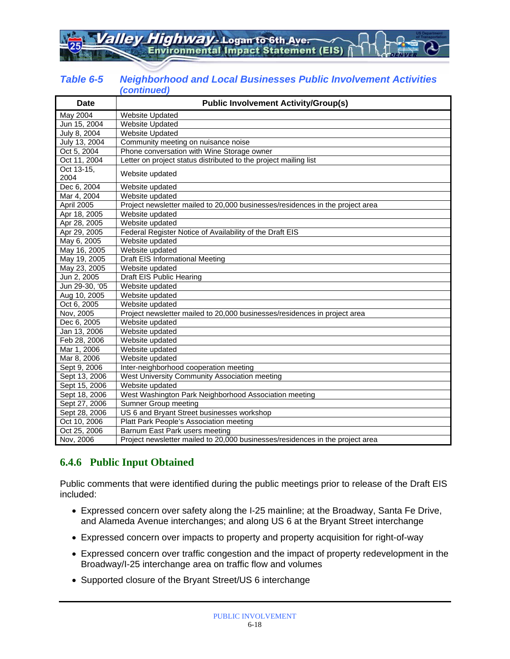Highway - Logan to 6th Aver **Environmental Impact Statement (EIS)** 

| Table 6-5 | <b>Neighborhood and Local Businesses Public Involvement Activities</b> |
|-----------|------------------------------------------------------------------------|
|           | (continued)                                                            |

| <b>Date</b>        | <b>Public Involvement Activity/Group(s)</b>                                   |
|--------------------|-------------------------------------------------------------------------------|
| May 2004           | <b>Website Updated</b>                                                        |
| Jun 15, 2004       | <b>Website Updated</b>                                                        |
| July 8, 2004       | <b>Website Updated</b>                                                        |
| July 13, 2004      | Community meeting on nuisance noise                                           |
| Oct 5, 2004        | Phone conversation with Wine Storage owner                                    |
| Oct 11, 2004       | Letter on project status distributed to the project mailing list              |
| Oct 13-15,<br>2004 | Website updated                                                               |
| Dec 6, 2004        | Website updated                                                               |
| Mar 4, 2004        | Website updated                                                               |
| April 2005         | Project newsletter mailed to 20,000 businesses/residences in the project area |
| Apr 18, 2005       | Website updated                                                               |
| Apr 28, 2005       | Website updated                                                               |
| Apr 29, 2005       | Federal Register Notice of Availability of the Draft EIS                      |
| May 6, 2005        | Website updated                                                               |
| May 16, 2005       | Website updated                                                               |
| May 19, 2005       | Draft EIS Informational Meeting                                               |
| May 23, 2005       | Website updated                                                               |
| Jun 2, 2005        | Draft EIS Public Hearing                                                      |
| Jun 29-30, '05     | Website updated                                                               |
| Aug 10, 2005       | Website updated                                                               |
| Oct 6, 2005        | Website updated                                                               |
| Nov, 2005          | Project newsletter mailed to 20,000 businesses/residences in project area     |
| Dec 6, 2005        | Website updated                                                               |
| Jan 13, 2006       | Website updated                                                               |
| Feb 28, 2006       | Website updated                                                               |
| Mar 1, 2006        | Website updated                                                               |
| Mar 8, 2006        | Website updated                                                               |
| Sept 9, 2006       | Inter-neighborhood cooperation meeting                                        |
| Sept 13, 2006      | West University Community Association meeting                                 |
| Sept 15, 2006      | Website updated                                                               |
| Sept 18, 2006      | West Washington Park Neighborhood Association meeting                         |
| Sept 27, 2006      | <b>Sumner Group meeting</b>                                                   |
| Sept 28, 2006      | US 6 and Bryant Street businesses workshop                                    |
| Oct 10, 2006       | Platt Park People's Association meeting                                       |
| Oct 25, 2006       | Barnum East Park users meeting                                                |
| Nov, 2006          | Project newsletter mailed to 20,000 businesses/residences in the project area |

### **6.4.6 Public Input Obtained**

Public comments that were identified during the public meetings prior to release of the Draft EIS included:

- Expressed concern over safety along the I-25 mainline; at the Broadway, Santa Fe Drive, and Alameda Avenue interchanges; and along US 6 at the Bryant Street interchange
- Expressed concern over impacts to property and property acquisition for right-of-way
- Expressed concern over traffic congestion and the impact of property redevelopment in the Broadway/I-25 interchange area on traffic flow and volumes
- Supported closure of the Bryant Street/US 6 interchange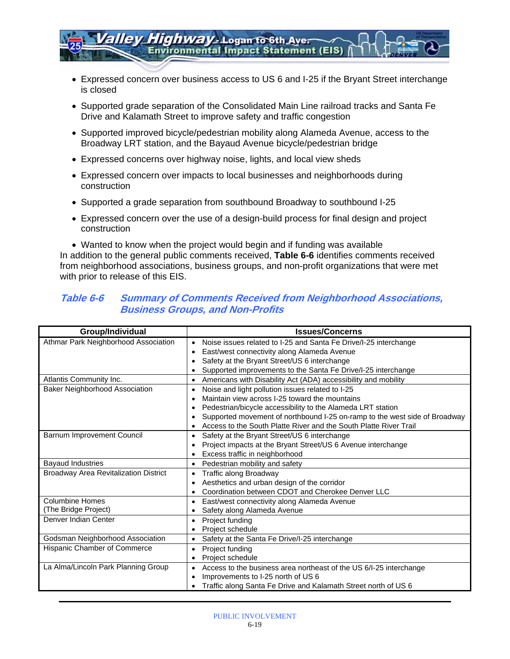- Expressed concern over business access to US 6 and I-25 if the Bryant Street interchange is closed
- Supported grade separation of the Consolidated Main Line railroad tracks and Santa Fe Drive and Kalamath Street to improve safety and traffic congestion
- Supported improved bicycle/pedestrian mobility along Alameda Avenue, access to the Broadway LRT station, and the Bayaud Avenue bicycle/pedestrian bridge
- Expressed concerns over highway noise, lights, and local view sheds
- Expressed concern over impacts to local businesses and neighborhoods during construction

*Highway* - Logan to 6th Aver

**Environmental Impact Statement (EIS)** 

- Supported a grade separation from southbound Broadway to southbound I-25
- Expressed concern over the use of a design-build process for final design and project construction

• Wanted to know when the project would begin and if funding was available In addition to the general public comments received, **Table 6-6** identifies comments received from neighborhood associations, business groups, and non-profit organizations that were met with prior to release of this EIS.

#### **Table 6-6 Summary of Comments Received from Neighborhood Associations, Business Groups, and Non-Profits**

| Group/Individual                             | <b>Issues/Concerns</b>                                                        |
|----------------------------------------------|-------------------------------------------------------------------------------|
| Athmar Park Neighborhood Association         | Noise issues related to I-25 and Santa Fe Drive/I-25 interchange<br>$\bullet$ |
|                                              | East/west connectivity along Alameda Avenue                                   |
|                                              | Safety at the Bryant Street/US 6 interchange                                  |
|                                              | Supported improvements to the Santa Fe Drive/I-25 interchange                 |
| Atlantis Community Inc.                      | Americans with Disability Act (ADA) accessibility and mobility                |
| <b>Baker Neighborhood Association</b>        | Noise and light pollution issues related to I-25<br>$\bullet$                 |
|                                              | Maintain view across I-25 toward the mountains                                |
|                                              | Pedestrian/bicycle accessibility to the Alameda LRT station                   |
|                                              | Supported movement of northbound I-25 on-ramp to the west side of Broadway    |
|                                              | Access to the South Platte River and the South Platte River Trail             |
| Barnum Improvement Council                   | Safety at the Bryant Street/US 6 interchange<br>$\bullet$                     |
|                                              | Project impacts at the Bryant Street/US 6 Avenue interchange                  |
|                                              | Excess traffic in neighborhood                                                |
| <b>Bayaud Industries</b>                     | Pedestrian mobility and safety<br>$\bullet$                                   |
| <b>Broadway Area Revitalization District</b> | Traffic along Broadway<br>$\bullet$                                           |
|                                              | Aesthetics and urban design of the corridor<br>$\bullet$                      |
|                                              | Coordination between CDOT and Cherokee Denver LLC                             |
| <b>Columbine Homes</b>                       | East/west connectivity along Alameda Avenue<br>$\bullet$                      |
| (The Bridge Project)                         | Safety along Alameda Avenue                                                   |
| Denver Indian Center                         | Project funding<br>$\bullet$                                                  |
|                                              | Project schedule                                                              |
| Godsman Neighborhood Association             | Safety at the Santa Fe Drive/I-25 interchange                                 |
| Hispanic Chamber of Commerce                 | Project funding<br>$\bullet$                                                  |
|                                              | Project schedule<br>$\bullet$                                                 |
| La Alma/Lincoln Park Planning Group          | Access to the business area northeast of the US 6/I-25 interchange            |
|                                              | Improvements to I-25 north of US 6<br>٠                                       |
|                                              | Traffic along Santa Fe Drive and Kalamath Street north of US 6                |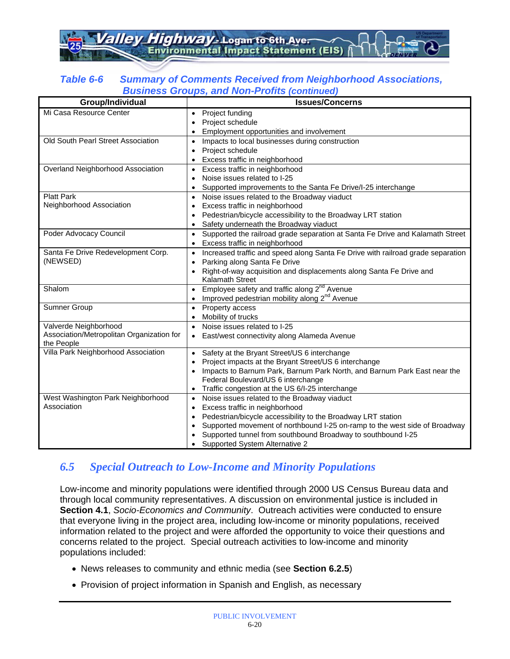*Highway* - Logan to 6th Aver **Environmental Impact Statement (EIS)** 

#### *Table 6-6 Summary of Comments Received from Neighborhood Associations, Business Groups, and Non-Profits (continued)*

| PUVIIVJJ VIVUN<br>Group/Individual        | 3, and Non Fronts (commuca)<br><b>Issues/Concerns</b>                                                                                          |
|-------------------------------------------|------------------------------------------------------------------------------------------------------------------------------------------------|
| Mi Casa Resource Center                   | Project funding<br>Project schedule<br>$\bullet$                                                                                               |
| Old South Pearl Street Association        | Employment opportunities and involvement                                                                                                       |
|                                           | Impacts to local businesses during construction<br>$\bullet$<br>Project schedule<br>$\bullet$                                                  |
|                                           | Excess traffic in neighborhood<br>$\bullet$                                                                                                    |
| Overland Neighborhood Association         | Excess traffic in neighborhood                                                                                                                 |
|                                           | Noise issues related to I-25<br>$\bullet$                                                                                                      |
|                                           | Supported improvements to the Santa Fe Drive/I-25 interchange<br>$\bullet$                                                                     |
| <b>Platt Park</b>                         | Noise issues related to the Broadway viaduct<br>$\bullet$                                                                                      |
| Neighborhood Association                  | Excess traffic in neighborhood<br>$\bullet$                                                                                                    |
|                                           | Pedestrian/bicycle accessibility to the Broadway LRT station<br>$\bullet$                                                                      |
| Poder Advocacy Council                    | Safety underneath the Broadway viaduct<br>$\bullet$                                                                                            |
|                                           | Supported the railroad grade separation at Santa Fe Drive and Kalamath Street<br>$\bullet$<br>Excess traffic in neighborhood<br>$\bullet$      |
| Santa Fe Drive Redevelopment Corp.        | Increased traffic and speed along Santa Fe Drive with railroad grade separation<br>$\bullet$                                                   |
| (NEWSED)                                  | Parking along Santa Fe Drive<br>$\bullet$                                                                                                      |
|                                           | Right-of-way acquisition and displacements along Santa Fe Drive and<br>$\bullet$                                                               |
|                                           | Kalamath Street                                                                                                                                |
| Shalom                                    | Employee safety and traffic along 2 <sup>nd</sup> Avenue<br>$\bullet$<br>Improved pedestrian mobility along 2 <sup>nd</sup> Avenue             |
| Sumner Group                              | $\bullet$<br>Property access<br>$\bullet$                                                                                                      |
|                                           | Mobility of trucks                                                                                                                             |
| Valverde Neighborhood                     | Noise issues related to I-25                                                                                                                   |
| Association/Metropolitan Organization for | East/west connectivity along Alameda Avenue                                                                                                    |
| the People                                |                                                                                                                                                |
| Villa Park Neighborhood Association       | Safety at the Bryant Street/US 6 interchange<br>$\bullet$                                                                                      |
|                                           | Project impacts at the Bryant Street/US 6 interchange<br>$\bullet$<br>Impacts to Barnum Park, Barnum Park North, and Barnum Park East near the |
|                                           | $\bullet$<br>Federal Boulevard/US 6 interchange                                                                                                |
|                                           | Traffic congestion at the US 6/I-25 interchange<br>$\bullet$                                                                                   |
| West Washington Park Neighborhood         | Noise issues related to the Broadway viaduct<br>$\bullet$                                                                                      |
| Association                               | Excess traffic in neighborhood<br>$\bullet$                                                                                                    |
|                                           | Pedestrian/bicycle accessibility to the Broadway LRT station<br>٠                                                                              |
|                                           | Supported movement of northbound I-25 on-ramp to the west side of Broadway<br>$\bullet$                                                        |
|                                           | Supported tunnel from southbound Broadway to southbound I-25                                                                                   |
|                                           | Supported System Alternative 2                                                                                                                 |

### *6.5 Special Outreach to Low-Income and Minority Populations*

Low-income and minority populations were identified through 2000 US Census Bureau data and through local community representatives. A discussion on environmental justice is included in **Section 4.1**, *Socio-Economics and Community*. Outreach activities were conducted to ensure that everyone living in the project area, including low-income or minority populations, received information related to the project and were afforded the opportunity to voice their questions and concerns related to the project. Special outreach activities to low-income and minority populations included:

- News releases to community and ethnic media (see **Section 6.2.5**)
- Provision of project information in Spanish and English, as necessary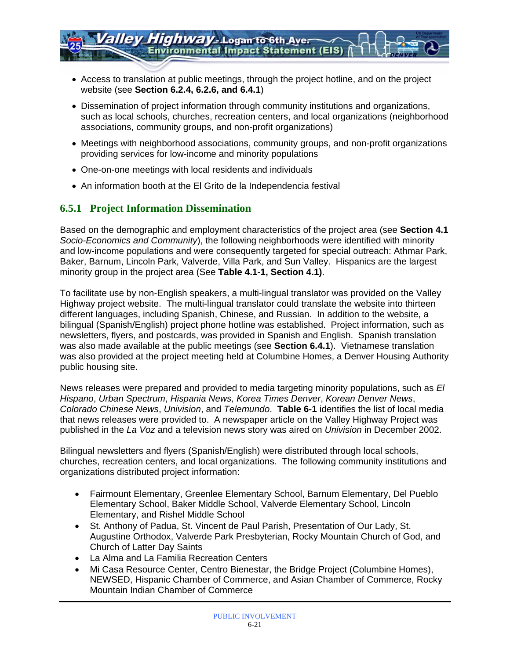- Access to translation at public meetings, through the project hotline, and on the project website (see **Section 6.2.4, 6.2.6, and 6.4.1**)
- Dissemination of project information through community institutions and organizations, such as local schools, churches, recreation centers, and local organizations (neighborhood associations, community groups, and non-profit organizations)
- Meetings with neighborhood associations, community groups, and non-profit organizations providing services for low-income and minority populations
- One-on-one meetings with local residents and individuals
- An information booth at the El Grito de la Independencia festival

### **6.5.1 Project Information Dissemination**

Based on the demographic and employment characteristics of the project area (see **Section 4.1**  *Socio-Economics and Community*), the following neighborhoods were identified with minority and low-income populations and were consequently targeted for special outreach: Athmar Park, Baker, Barnum, Lincoln Park, Valverde, Villa Park, and Sun Valley. Hispanics are the largest minority group in the project area (See **Table 4.1-1, Section 4.1)**.

To facilitate use by non-English speakers, a multi-lingual translator was provided on the Valley Highway project website. The multi-lingual translator could translate the website into thirteen different languages, including Spanish, Chinese, and Russian. In addition to the website, a bilingual (Spanish/English) project phone hotline was established. Project information, such as newsletters, flyers, and postcards, was provided in Spanish and English. Spanish translation was also made available at the public meetings (see **Section 6.4.1**). Vietnamese translation was also provided at the project meeting held at Columbine Homes, a Denver Housing Authority public housing site.

News releases were prepared and provided to media targeting minority populations, such as *El Hispano*, *Urban Spectrum*, *Hispania News, Korea Times Denver*, *Korean Denver News*, *Colorado Chinese News*, *Univision*, and *Telemundo*. **Table 6-1** identifies the list of local media that news releases were provided to. A newspaper article on the Valley Highway Project was published in the *La Voz* and a television news story was aired on *Univision* in December 2002.

Bilingual newsletters and flyers (Spanish/English) were distributed through local schools, churches, recreation centers, and local organizations. The following community institutions and organizations distributed project information:

- Fairmount Elementary, Greenlee Elementary School, Barnum Elementary, Del Pueblo Elementary School, Baker Middle School, Valverde Elementary School, Lincoln Elementary, and Rishel Middle School
- St. Anthony of Padua, St. Vincent de Paul Parish, Presentation of Our Lady, St. Augustine Orthodox, Valverde Park Presbyterian, Rocky Mountain Church of God, and Church of Latter Day Saints
- La Alma and La Familia Recreation Centers
- Mi Casa Resource Center, Centro Bienestar, the Bridge Project (Columbine Homes), NEWSED, Hispanic Chamber of Commerce, and Asian Chamber of Commerce, Rocky Mountain Indian Chamber of Commerce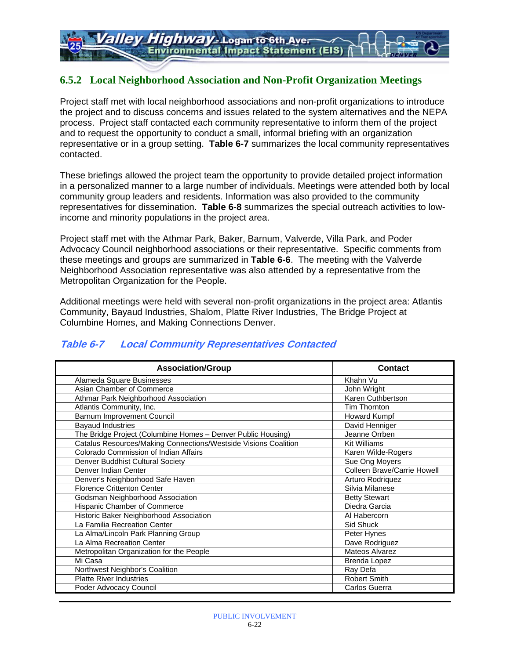### **6.5.2 Local Neighborhood Association and Non-Profit Organization Meetings**

Project staff met with local neighborhood associations and non-profit organizations to introduce the project and to discuss concerns and issues related to the system alternatives and the NEPA process. Project staff contacted each community representative to inform them of the project and to request the opportunity to conduct a small, informal briefing with an organization representative or in a group setting. **Table 6-7** summarizes the local community representatives contacted.

These briefings allowed the project team the opportunity to provide detailed project information in a personalized manner to a large number of individuals. Meetings were attended both by local community group leaders and residents. Information was also provided to the community representatives for dissemination. **Table 6-8** summarizes the special outreach activities to lowincome and minority populations in the project area.

Project staff met with the Athmar Park, Baker, Barnum, Valverde, Villa Park, and Poder Advocacy Council neighborhood associations or their representative. Specific comments from these meetings and groups are summarized in **Table 6-6**. The meeting with the Valverde Neighborhood Association representative was also attended by a representative from the Metropolitan Organization for the People.

Additional meetings were held with several non-profit organizations in the project area: Atlantis Community, Bayaud Industries, Shalom, Platte River Industries, The Bridge Project at Columbine Homes, and Making Connections Denver.

| <b>Association/Group</b>                                        | <b>Contact</b>              |
|-----------------------------------------------------------------|-----------------------------|
| Alameda Square Businesses                                       | Khahn Vu                    |
| Asian Chamber of Commerce                                       | John Wright                 |
| Athmar Park Neighborhood Association                            | Karen Cuthbertson           |
| Atlantis Community, Inc.                                        | Tim Thornton                |
| Barnum Improvement Council                                      | <b>Howard Kumpf</b>         |
| <b>Bayaud Industries</b>                                        | David Henniger              |
| The Bridge Project (Columbine Homes - Denver Public Housing)    | Jeanne Orrben               |
| Catalus Resources/Making Connections/Westside Visions Coalition | <b>Kit Williams</b>         |
| Colorado Commission of Indian Affairs                           | Karen Wilde-Rogers          |
| Denver Buddhist Cultural Society                                | Sue Ong Moyers              |
| Denver Indian Center                                            | Colleen Brave/Carrie Howell |
| Denver's Neighborhood Safe Haven                                | Arturo Rodriquez            |
| <b>Florence Crittenton Center</b>                               | Silvia Milanese             |
| Godsman Neighborhood Association                                | <b>Betty Stewart</b>        |
| Hispanic Chamber of Commerce                                    | Diedra Garcia               |
| Historic Baker Neighborhood Association                         | Al Habercorn                |
| La Familia Recreation Center                                    | Sid Shuck                   |
| La Alma/Lincoln Park Planning Group                             | Peter Hynes                 |
| La Alma Recreation Center                                       | Dave Rodriguez              |
| Metropolitan Organization for the People                        | Mateos Alvarez              |
| Mi Casa                                                         | Brenda Lopez                |
| Northwest Neighbor's Coalition                                  | Ray Defa                    |
| <b>Platte River Industries</b>                                  | <b>Robert Smith</b>         |
| Poder Advocacy Council                                          | Carlos Guerra               |

### **Table 6-7 Local Community Representatives Contacted**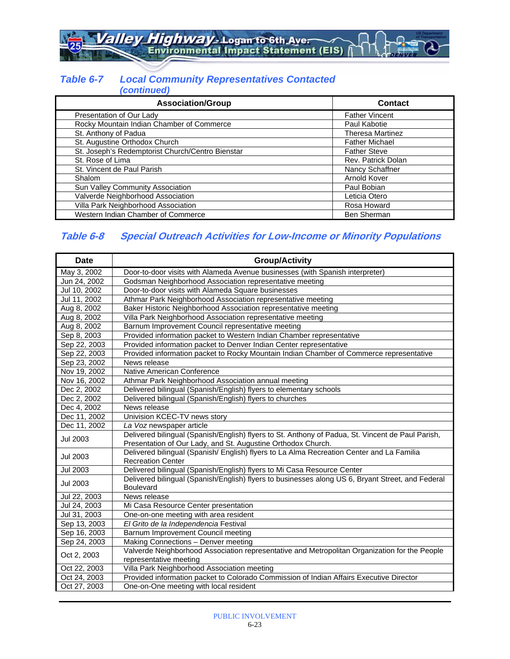alley Highway - Logan to 6th Ave.

#### *Table 6-7 Local Community Representatives Contacted (continued)*

| <b>Association/Group</b>                         | Contact                 |
|--------------------------------------------------|-------------------------|
| Presentation of Our Lady                         | <b>Father Vincent</b>   |
| Rocky Mountain Indian Chamber of Commerce        | Paul Kabotie            |
| St. Anthony of Padua                             | <b>Theresa Martinez</b> |
| St. Augustine Orthodox Church                    | <b>Father Michael</b>   |
| St. Joseph's Redemptorist Church/Centro Bienstar | <b>Father Steve</b>     |
| St. Rose of Lima                                 | Rev. Patrick Dolan      |
| St. Vincent de Paul Parish                       | Nancy Schaffner         |
| Shalom                                           | Arnold Kover            |
| Sun Valley Community Association                 | Paul Bobian             |
| Valverde Neighborhood Association                | Leticia Otero           |
| Villa Park Neighborhood Association              | Rosa Howard             |
| Western Indian Chamber of Commerce               | <b>Ben Sherman</b>      |

### **Table 6-8 Special Outreach Activities for Low-Income or Minority Populations**

| <b>Date</b>     | <b>Group/Activity</b>                                                                             |
|-----------------|---------------------------------------------------------------------------------------------------|
| May 3, 2002     | Door-to-door visits with Alameda Avenue businesses (with Spanish interpreter)                     |
| Jun 24, 2002    | Godsman Neighborhood Association representative meeting                                           |
| Jul 10, 2002    | Door-to-door visits with Alameda Square businesses                                                |
| Jul 11, 2002    | Athmar Park Neighborhood Association representative meeting                                       |
| Aug 8, 2002     | Baker Historic Neighborhood Association representative meeting                                    |
| Aug 8, 2002     | Villa Park Neighborhood Association representative meeting                                        |
| Aug 8, 2002     | Barnum Improvement Council representative meeting                                                 |
| Sep 8, 2003     | Provided information packet to Western Indian Chamber representative                              |
| Sep 22, 2003    | Provided information packet to Denver Indian Center representative                                |
| Sep 22, 2003    | Provided information packet to Rocky Mountain Indian Chamber of Commerce representative           |
| Sep 23, 2002    | News release                                                                                      |
| Nov 19, 2002    | Native American Conference                                                                        |
| Nov 16, 2002    | Athmar Park Neighborhood Association annual meeting                                               |
| Dec 2, 2002     | Delivered bilingual (Spanish/English) flyers to elementary schools                                |
| Dec 2, 2002     | Delivered bilingual (Spanish/English) flyers to churches                                          |
| Dec 4, 2002     | News release                                                                                      |
| Dec 11, 2002    | Univision KCEC-TV news story                                                                      |
| Dec 11, 2002    | La Voz newspaper article                                                                          |
| <b>Jul 2003</b> | Delivered bilingual (Spanish/English) flyers to St. Anthony of Padua, St. Vincent de Paul Parish, |
|                 | Presentation of Our Lady, and St. Augustine Orthodox Church.                                      |
| Jul 2003        | Delivered bilingual (Spanish/ English) flyers to La Alma Recreation Center and La Familia         |
|                 | <b>Recreation Center</b>                                                                          |
| <b>Jul 2003</b> | Delivered bilingual (Spanish/English) flyers to Mi Casa Resource Center                           |
| Jul 2003        | Delivered bilingual (Spanish/English) flyers to businesses along US 6, Bryant Street, and Federal |
|                 | <b>Boulevard</b>                                                                                  |
| Jul 22, 2003    | News release                                                                                      |
| Jul 24, 2003    | Mi Casa Resource Center presentation                                                              |
| Jul 31, 2003    | One-on-one meeting with area resident                                                             |
| Sep 13, 2003    | El Grito de la Independencia Festival                                                             |
| Sep 16, 2003    | Barnum Improvement Council meeting                                                                |
| Sep 24, 2003    | Making Connections - Denver meeting                                                               |
| Oct 2, 2003     | Valverde Neighborhood Association representative and Metropolitan Organization for the People     |
|                 | representative meeting                                                                            |
| Oct 22, 2003    | Villa Park Neighborhood Association meeting                                                       |
| Oct 24, 2003    | Provided information packet to Colorado Commission of Indian Affairs Executive Director           |
| Oct 27, 2003    | One-on-One meeting with local resident                                                            |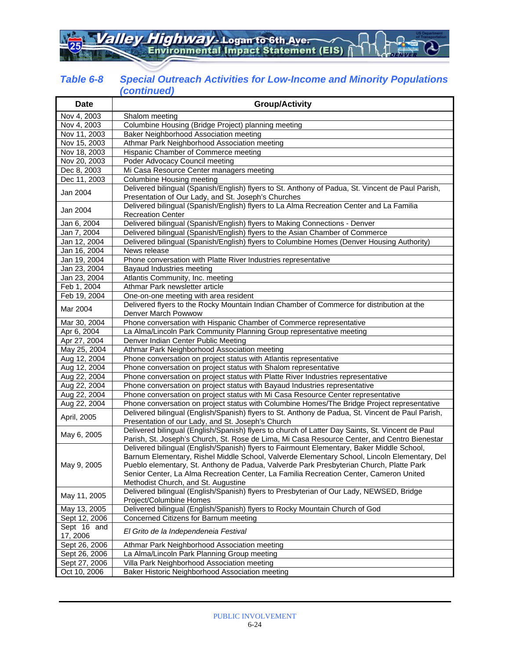alley Highway - Logan to 6th Ave

#### *Table 6-8 Special Outreach Activities for Low-Income and Minority Populations (continued)*

| <b>Date</b>             | <b>Group/Activity</b>                                                                                                                                                                                                                                                                                                                                                                                                  |
|-------------------------|------------------------------------------------------------------------------------------------------------------------------------------------------------------------------------------------------------------------------------------------------------------------------------------------------------------------------------------------------------------------------------------------------------------------|
| Nov 4, 2003             | Shalom meeting                                                                                                                                                                                                                                                                                                                                                                                                         |
| Nov 4, 2003             | Columbine Housing (Bridge Project) planning meeting                                                                                                                                                                                                                                                                                                                                                                    |
| Nov 11, 2003            | Baker Neighborhood Association meeting                                                                                                                                                                                                                                                                                                                                                                                 |
| Nov 15, 2003            | Athmar Park Neighborhood Association meeting                                                                                                                                                                                                                                                                                                                                                                           |
| Nov 18, 2003            | Hispanic Chamber of Commerce meeting                                                                                                                                                                                                                                                                                                                                                                                   |
| Nov 20, 2003            | Poder Advocacy Council meeting                                                                                                                                                                                                                                                                                                                                                                                         |
| Dec 8, 2003             | Mi Casa Resource Center managers meeting                                                                                                                                                                                                                                                                                                                                                                               |
| Dec 11, 2003            | Columbine Housing meeting                                                                                                                                                                                                                                                                                                                                                                                              |
| Jan 2004                | Delivered bilingual (Spanish/English) flyers to St. Anthony of Padua, St. Vincent de Paul Parish,<br>Presentation of Our Lady, and St. Joseph's Churches                                                                                                                                                                                                                                                               |
| Jan 2004                | Delivered bilingual (Spanish/English) flyers to La Alma Recreation Center and La Familia<br><b>Recreation Center</b>                                                                                                                                                                                                                                                                                                   |
| Jan 6, 2004             | Delivered bilingual (Spanish/English) flyers to Making Connections - Denver                                                                                                                                                                                                                                                                                                                                            |
| Jan 7, 2004             | Delivered bilingual (Spanish/English) flyers to the Asian Chamber of Commerce                                                                                                                                                                                                                                                                                                                                          |
| Jan 12, 2004            | Delivered bilingual (Spanish/English) flyers to Columbine Homes (Denver Housing Authority)                                                                                                                                                                                                                                                                                                                             |
| Jan 16, 2004            | News release                                                                                                                                                                                                                                                                                                                                                                                                           |
| Jan 19, 2004            | Phone conversation with Platte River Industries representative                                                                                                                                                                                                                                                                                                                                                         |
| Jan 23, 2004            | Bayaud Industries meeting                                                                                                                                                                                                                                                                                                                                                                                              |
| Jan 23, 2004            | Atlantis Community, Inc. meeting                                                                                                                                                                                                                                                                                                                                                                                       |
| Feb 1, 2004             | Athmar Park newsletter article                                                                                                                                                                                                                                                                                                                                                                                         |
| Feb 19, 2004            | One-on-one meeting with area resident                                                                                                                                                                                                                                                                                                                                                                                  |
| Mar 2004                | Delivered flyers to the Rocky Mountain Indian Chamber of Commerce for distribution at the<br>Denver March Powwow                                                                                                                                                                                                                                                                                                       |
| Mar 30, 2004            | Phone conversation with Hispanic Chamber of Commerce representative                                                                                                                                                                                                                                                                                                                                                    |
| Apr 6, 2004             | La Alma/Lincoln Park Community Planning Group representative meeting                                                                                                                                                                                                                                                                                                                                                   |
| Apr 27, 2004            | Denver Indian Center Public Meeting                                                                                                                                                                                                                                                                                                                                                                                    |
| May 25, 2004            | Athmar Park Neighborhood Association meeting                                                                                                                                                                                                                                                                                                                                                                           |
| Aug 12, 2004            | Phone conversation on project status with Atlantis representative                                                                                                                                                                                                                                                                                                                                                      |
| Aug 12, 2004            | Phone conversation on project status with Shalom representative                                                                                                                                                                                                                                                                                                                                                        |
| Aug 22, 2004            | Phone conversation on project status with Platte River Industries representative                                                                                                                                                                                                                                                                                                                                       |
| Aug 22, 2004            | Phone conversation on project status with Bayaud Industries representative                                                                                                                                                                                                                                                                                                                                             |
| Aug 22, 2004            | Phone conversation on project status with Mi Casa Resource Center representative                                                                                                                                                                                                                                                                                                                                       |
| Aug 22, 2004            | Phone conversation on project status with Columbine Homes/The Bridge Project representative                                                                                                                                                                                                                                                                                                                            |
| April, 2005             | Delivered bilingual (English/Spanish) flyers to St. Anthony de Padua, St. Vincent de Paul Parish,<br>Presentation of our Lady, and St. Joseph's Church                                                                                                                                                                                                                                                                 |
| May 6, 2005             | Delivered bilingual (English/Spanish) flyers to church of Latter Day Saints, St. Vincent de Paul<br>Parish, St. Joseph's Church, St. Rose de Lima, Mi Casa Resource Center, and Centro Bienestar                                                                                                                                                                                                                       |
| May 9, 2005             | Delivered bilingual (English/Spanish) flyers to Fairmount Elementary, Baker Middle School,<br>Barnum Elementary, Rishel Middle School, Valverde Elementary School, Lincoln Elementary, Del<br>Pueblo elementary, St. Anthony de Padua, Valverde Park Presbyterian Church, Platte Park<br>Senior Center, La Alma Recreation Center, La Familia Recreation Center, Cameron United<br>Methodist Church, and St. Augustine |
| May 11, 2005            | Delivered bilingual (English/Spanish) flyers to Presbyterian of Our Lady, NEWSED, Bridge<br>Project/Columbine Homes                                                                                                                                                                                                                                                                                                    |
| May 13, 2005            | Delivered bilingual (English/Spanish) flyers to Rocky Mountain Church of God                                                                                                                                                                                                                                                                                                                                           |
| Sept 12, 2006           | Concerned Citizens for Barnum meeting                                                                                                                                                                                                                                                                                                                                                                                  |
| Sept 16 and<br>17, 2006 | El Grito de la Independeneia Festival                                                                                                                                                                                                                                                                                                                                                                                  |
| Sept 26, 2006           | Athmar Park Neighborhood Association meeting                                                                                                                                                                                                                                                                                                                                                                           |
| Sept 26, 2006           | La Alma/Lincoln Park Planning Group meeting                                                                                                                                                                                                                                                                                                                                                                            |
| Sept 27, 2006           | Villa Park Neighborhood Association meeting                                                                                                                                                                                                                                                                                                                                                                            |
| Oct 10, 2006            | Baker Historic Neighborhood Association meeting                                                                                                                                                                                                                                                                                                                                                                        |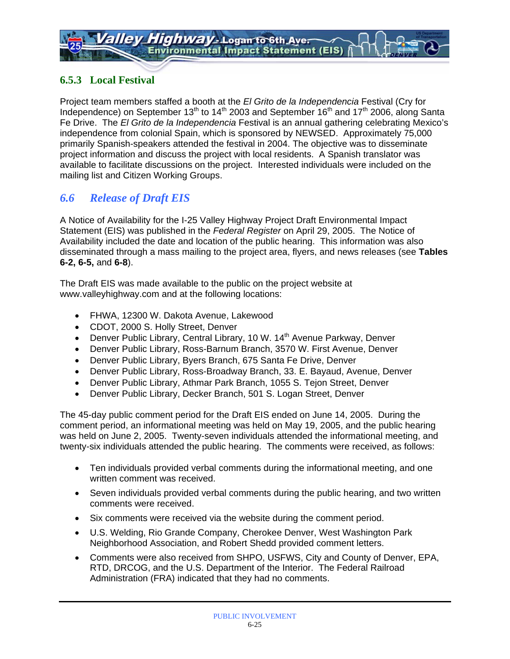### **6.5.3 Local Festival**

Project team members staffed a booth at the *El Grito de la Independencia* Festival (Cry for Independence) on September 13<sup>th</sup> to 14<sup>th</sup> 2003 and September 16<sup>th</sup> and 17<sup>th</sup> 2006, along Santa Fe Drive. The *El Grito de la Independencia* Festival is an annual gathering celebrating Mexico's independence from colonial Spain, which is sponsored by NEWSED. Approximately 75,000 primarily Spanish-speakers attended the festival in 2004. The objective was to disseminate project information and discuss the project with local residents. A Spanish translator was available to facilitate discussions on the project. Interested individuals were included on the mailing list and Citizen Working Groups.

### *6.6 Release of Draft EIS*

A Notice of Availability for the I-25 Valley Highway Project Draft Environmental Impact Statement (EIS) was published in the *Federal Register* on April 29, 2005. The Notice of Availability included the date and location of the public hearing. This information was also disseminated through a mass mailing to the project area, flyers, and news releases (see **Tables 6-2, 6-5,** and **6-8**).

The Draft EIS was made available to the public on the project website at www.valleyhighway.com and at the following locations:

- FHWA, 12300 W. Dakota Avenue, Lakewood
- CDOT, 2000 S. Holly Street, Denver
- Denver Public Library, Central Library, 10 W.  $14<sup>th</sup>$  Avenue Parkway, Denver
- Denver Public Library, Ross-Barnum Branch, 3570 W. First Avenue, Denver
- Denver Public Library, Byers Branch, 675 Santa Fe Drive, Denver
- Denver Public Library, Ross-Broadway Branch, 33. E. Bayaud, Avenue, Denver
- Denver Public Library, Athmar Park Branch, 1055 S. Tejon Street, Denver
- Denver Public Library, Decker Branch, 501 S. Logan Street, Denver

The 45-day public comment period for the Draft EIS ended on June 14, 2005. During the comment period, an informational meeting was held on May 19, 2005, and the public hearing was held on June 2, 2005. Twenty-seven individuals attended the informational meeting, and twenty-six individuals attended the public hearing. The comments were received, as follows:

- Ten individuals provided verbal comments during the informational meeting, and one written comment was received.
- Seven individuals provided verbal comments during the public hearing, and two written comments were received.
- Six comments were received via the website during the comment period.
- U.S. Welding, Rio Grande Company, Cherokee Denver, West Washington Park Neighborhood Association, and Robert Shedd provided comment letters.
- Comments were also received from SHPO, USFWS, City and County of Denver, EPA, RTD, DRCOG, and the U.S. Department of the Interior. The Federal Railroad Administration (FRA) indicated that they had no comments.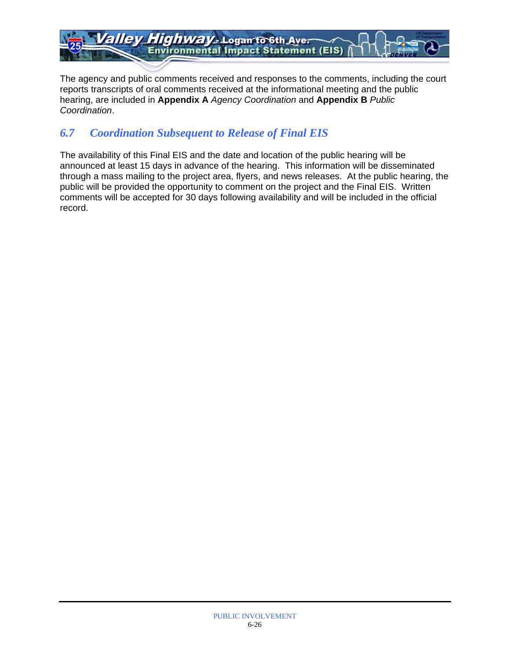Highway - Logan to 6th Aver allev **Environmental Impact Statement (EIS)** 

The agency and public comments received and responses to the comments, including the court reports transcripts of oral comments received at the informational meeting and the public hearing, are included in **Appendix A** *Agency Coordination* and **Appendix B** *Public Coordination*.

### *6.7 Coordination Subsequent to Release of Final EIS*

The availability of this Final EIS and the date and location of the public hearing will be announced at least 15 days in advance of the hearing. This information will be disseminated through a mass mailing to the project area, flyers, and news releases. At the public hearing, the public will be provided the opportunity to comment on the project and the Final EIS. Written comments will be accepted for 30 days following availability and will be included in the official record.